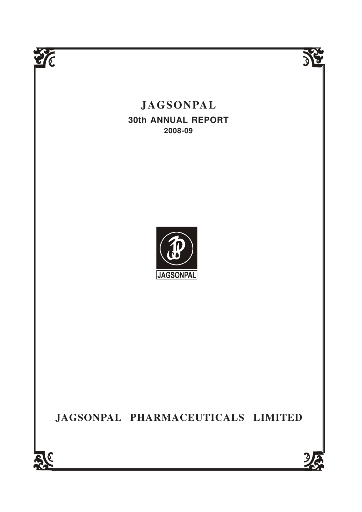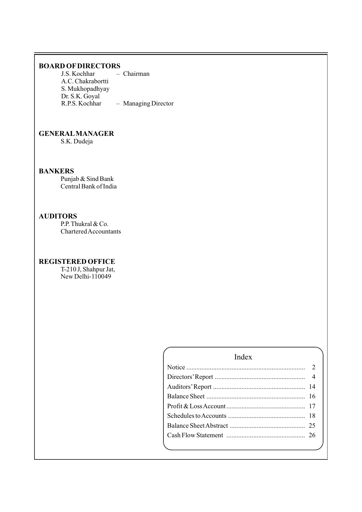# **BOARD OFDIRECTORS**

J.S. Kochhar – Chairman A.C. Chakrabortti S. Mukhopadhyay Dr. S.K. Goyal - Managing Director

# **GENERALMANAGER**

S.K. Dudeja

# **BANKERS**

Punjab & Sind Bank Central Bank of India

# **AUDITORS**

P.P. Thukral & Co. Chartered Accountants

# **REGISTERED OFFICE**

T-210 J, Shahpur Jat, New Delhi-110049

# Index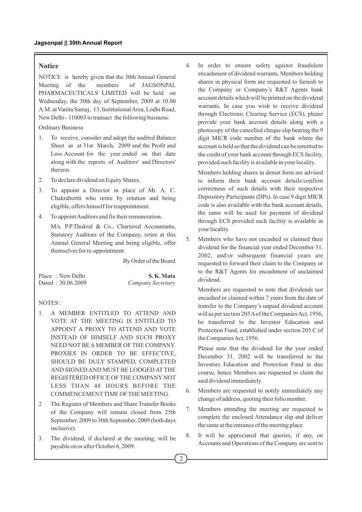# **Notice**

NOTICE is hereby given that the 30th Annual General Meeting of the members of JAGSONPAL PHARMACEUTICALS LIMITED will be held on Wednesday, the 30th day of September, 2009 at 10.00 A.M. at Vanita Samaj, 13, Institutional Area, Lodhi Road, New Delhi - 110003 to transact the following business:

Ordinary Business

- 1. To receive, consider and adopt the audited Balance Sheet as at 31st March, 2009 and the Profit and Loss Account for the year ended on that date along with the reports of Auditors' and Directors' thereon.
- 2. To declare dividend on Equity Shares.
- 3. To appoint a Director in place of Mr. A. C. Chakrabortti who retire by rotation and being eligible, offers himself for reappointment.
- 4. To appoint Auditors and fix their remuneration.

M/s. P.P.Thukral & Co., Chartered Accountants, Statutory Auditors of the Company, retire at this Annual General Meeting and being eligible, offer themselves for re-appointment.

By Order of the Board

| Place: New Delhi  | S.K.Mata          |
|-------------------|-------------------|
| Dated: 30.06.2009 | Company Secretary |

#### NOTES :

- 1. A MEMBER ENTITLED TO ATTEND AND VOTE AT THE MEETING IS ENTITLED TO APPOINT A PROXY TO ATTEND AND VOTE INSTEAD OF HIMSELF AND SUCH PROXY NEED NOT BE AMEMBER OF THE COMPANY. PROXIES IN ORDER TO BE EFFECTIVE, SHOULD BE DULY STAMPED, COMPLETED AND SIGNED AND MUST BE LODGED AT THE REGISTERED OFFICE OF THE COMPANYNOT LESS THAN 48 HOURS BEFORE THE COMMENCEMENTTIME OF THE MEETING.
- 2 The Register of Members and Share Transfer Books of the Company will remain closed from 25th September, 2009 to 30th September, 2009 (both days inclusive).
- 3. The dividend, if declared at the meeting, will be payable on or after October 6, 2009.

4. In order to ensure safety against fraudulent encashment of dividend warrants, Members holding shares in physical form are requested to furnish to the Company or Company's R&T Agents bank account details which will be printed on the dividend warrants. In case you wish to receive dividend through Electronic Clearing Service (ECS), please provide your bank account details along with a photocopy of the cancelled cheque slip bearing the 9 digit MICR code number of the bank where the account is held so that the dividend can be remitted to the credit of your bank account through ECS facility, provided such facility is available in your locality.

Members holding shares in demat form are advised to inform their bank account details/confirm correctness of such details with their respective Depository Participants (DPs). In case 9 digit MICR code is also available with the bank account details, the same will be used for payment of dividend through ECS provided such facility is available in your locality.

5. Members who have not encashed or claimed their dividend for the financial year ended December 31, 2002, and/or subsequent financial years are requested to forward their claim to the Company or to the R&T Agents for encashment of unclaimed dividend.

Members are requested to note that dividends not encashed or claimed within 7 years from the date of transfer to the Company's unpaid dividend account will as per section 205 Aof the Companies Act, 1956, be transferred to the Investor Education and Protection Fund, established under section 205 C of the Companies Act, 1956.

Please note that the dividend for the year ended December 31, 2002 will be transferred to the Investors Education and Protection Fund in due course, hence Members are requested to claim the said dividend immediately.

- 6. Members are requested to notify immediately any change of address, quoting their folio number.
- 7. Members attending the meeting are requested to complete the enclosed Attendance slip and deliver the same at the entrance of the meeting place
- 8. It will be appreciated that queries, if any, on Accounts and Operations of the Company are sent to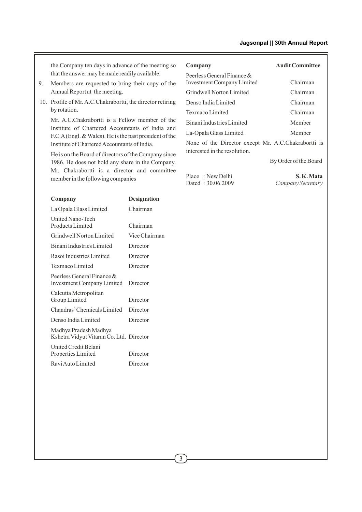the Company ten days in advance of the meeting so that the answer may be made readily available.

- 9. Members are requested to bring their copy of the Annual Report at the meeting.
- 10. Profile of Mr. A.C.Chakrabortti, the director retiring by rotation.

Mr. A.C.Chakrabortti is a Fellow member of the Institute of Chartered Accountants of India and F.C.A(Engl. & Wales). He is the past president of the Institute of Chartered Accountants of India.

He is on the Board of directors of the Company since 1986. He does not hold any share in the Company. Mr. Chakrabortti is a director and committee member in the following companies

| Company                                                            | <b>Designation</b> |
|--------------------------------------------------------------------|--------------------|
| La Opala Glass Limited                                             | Chairman           |
| <b>United Nano-Tech</b><br>Products Limited                        | Chairman           |
| Grindwell Norton Limited                                           | Vice Chairman      |
| Binani Industries Limited                                          | Director           |
| Rasoi Industries Limited                                           | Director           |
| Texmaco Limited                                                    | Director           |
| Peerless General Finance $\&$<br><b>Investment Company Limited</b> | Director           |
| Calcutta Metropolitan<br>Group Limited                             | Director           |
| Chandras' Chemicals Limited                                        | Director           |
| Denso India Limited                                                | Director           |
| Madhya Pradesh Madhya<br>Kshetra Vidyut Vitaran Co. Ltd. Director  |                    |
| United Credit Belani<br>Properties Limited                         | Director           |
| Ravi Auto Limited                                                  | Director           |
|                                                                    |                    |

| Company                                                                              | <b>Audit Committee</b> |
|--------------------------------------------------------------------------------------|------------------------|
| Peerless General Finance &<br><b>Investment Company Limited</b>                      | Chairman               |
| Grindwell Norton Limited                                                             | Chairman               |
| Denso India Limited                                                                  | Chairman               |
| Texmaco Limited                                                                      | Chairman               |
| Binani Industries Limited                                                            | Member                 |
| La-Opala Glass Limited                                                               | Member                 |
| None of the Director except Mr. A.C.Chakrabortti is<br>interested in the resolution. |                        |
|                                                                                      | By Order of the Board  |
| $m1 \quad m1$                                                                        | $C \times T$           |

Place : New Delhi **S. K. Mata**<br>Dated : 30.06.2009 *Company Secretary* 

 $Company$  *Secretary*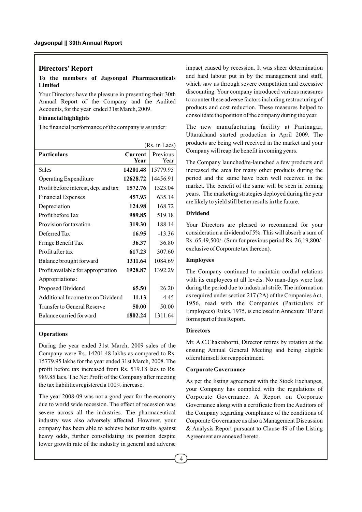## **Directors' Report**

## **To the members of Jagsonpal Pharmaceuticals Limited**

Your Directors have the pleasure in presenting their 30th Annual Report of the Company and the Audited Accounts, for the year ended 31st March, 2009.

## **Financial highlights**

The financial performance of the company is as under:

|                                            | (Rs. in Lacs)    |
|--------------------------------------------|------------------|
| <b>Current</b><br>Year                     | Previous<br>Year |
| 14201.48                                   | 15779.95         |
| 12628.72                                   | 14456.91         |
| 1572.76                                    | 1323.04          |
| 457.93                                     | 635.14           |
| 124.98                                     | 168.72           |
| 989.85                                     | 519.18           |
| 319.30                                     | 188.14           |
| 16.95                                      | $-13.36$         |
| 36.37                                      | 36.80            |
| 617.23                                     | 307.60           |
| 1311.64                                    | 1084.69          |
| 1928.87                                    | 1392.29          |
|                                            |                  |
| 65.50                                      | 26.20            |
| Additional Income tax on Dividend<br>11.13 | 4.45             |
| 50.00                                      | 50.00            |
| 1802.24                                    | 1311.64          |
|                                            |                  |

#### **Operations**

During the year ended 31st March, 2009 sales of the Company were Rs. 14201.48 lakhs as compared to Rs. 15779.95 lakhs for the year ended 31st March, 2008. The profit before tax increased from Rs. 519.18 lacs to Rs. 989.85 lacs. The Net Profit of the Company after meeting the tax liabilities registered a 100% increase.

The year 2008-09 was not a good year for the economy due to world wide recession. The effect of recession was severe across all the industries. The pharmaceutical industry was also adversely affected. However, your company has been able to achieve better results against heavy odds, further consolidating its position despite lower growth rate of the industry in general and adverse

impact caused by recession. It was sheer determination and hard labour put in by the management and staff, which saw us through severe competition and excessive discounting. Your company introduced various measures to counter these adverse factors including restructuring of products and cost reduction. These measures helped to consolidate the position of the company during the year.

The new manufacturing facility at Pantnagar, Uttarakhand started production in April 2009. The products are being well received in the market and your Company will reap the benefit in coming years.

The Company launched/re-launched a few products and increased the area for many other products during the period and the same have been well received in the market. The benefit of the same will be seen in coming years. The marketing strategies deployed during the year are likely to yield still better results in the future.

#### **Dividend**

Your Directors are pleased to recommend for your consideration a dividend of 5%. This will absorb a sum of Rs. 65,49,500/- (Sum for previous period Rs. 26,19,800/ exclusive of Corporate tax thereon).

#### **Employees**

The Company continued to maintain cordial relations with its employees at all levels. No man-days were lost during the period due to industrial strife. The information as required under section 217 (2A) of the Companies Act, 1956, read with the Companies (Particulars of Employees) Rules, 1975, is enclosed in Annexure `B' and forms part of this Report.

#### **Directors**

Mr. A.C.Chakrabortti, Director retires by rotation at the ensuing Annual General Meeting and being eligible offers himself for reappointment.

#### **Corporate Governance**

As per the listing agreement with the Stock Exchanges, your Company has complied with the regulations of Corporate Governance. A Report on Corporate Governance along with a certificate from the Auditors of the Company regarding compliance of the conditions of Corporate Governance as also a Management Discussion & Analysis Report pursuant to Clause 49 of the Listing Agreement are annexed hereto.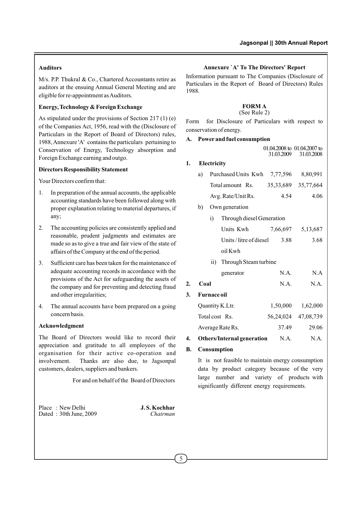## **Auditors**

M/s. P.P. Thukral & Co., Chartered Accountants retire as auditors at the ensuing Annual General Meeting and are eligible for re-appointment as Auditors.

## **Energy, Technology & Foreign Exchange**

As stipulated under the provisions of Section 217 (1) (e) of the Companies Act, 1956, read with the (Disclosure of Particulars in the Report of Board of Directors) rules, 1988, Annexure 'A' contains the particulars pertaining to Conservation of Energy, Technology absorption and Foreign Exchange earning and outgo.

#### **Directors Responsibility Statement**

Your Directors confirm that:

- 1. In preparation of the annual accounts, the applicable accounting standards have been followed along with proper explanation relating to material departures, if any;
- 2. The accounting policies are consistently applied and reasonable, prudent judgments and estimates are made so as to give a true and fair view of the state of affairs of the Company at the end of the period.
- 3. Sufficient care has been taken for the maintenance of adequate accounting records in accordance with the provisions of the Act for safeguarding the assets of the company and for preventing and detecting fraud and other irregularities;
- 4. The annual accounts have been prepared on a going concern basis.

## **Acknowledgment**

The Board of Directors would like to record their appreciation and gratitude to all employees of the organisation for their active co-operation and involvement. Thanks are also due, to Jagsonpal customers, dealers, suppliers and bankers.

For and on behalf of the Board of Directors

Place : New Delhi **J.S. Kochhar**<br>Dated : 30th June 2009 Dated: 30th June, 2009

#### **Annexure `A' To The Directors' Report**

Information pursuant to The Companies (Disclosure of Particulars in the Report of Board of Directors) Rules 1988.

## **FORM A**

#### (See Rule 2)

Form for Disclosure of Particulars with respect to conservation of energy.

#### **A. Power and fuel consumption**

|            | $01.04.2008$ to $01.04.2007$ to |
|------------|---------------------------------|
| 31.03.2009 | 31.03.2008                      |

#### **1. Electricity**

| a) | Purchased Units Kwh | 7.77.596            | 8.80.991 |
|----|---------------------|---------------------|----------|
|    | Total amount Rs.    | 35.33.689 35.77.664 |          |
|    | Avg. Rate/Unit Rs.  | 4.54                | 4.06     |

b) Own generation

|    |      | i)                 | Through diesel Generation  |           |           |
|----|------|--------------------|----------------------------|-----------|-----------|
|    |      |                    | Units Kwh                  | 7,66,697  | 5,13,687  |
|    |      |                    | Units/litre of diesel      | 3.88      | 3.68      |
|    |      |                    | oil Kwh                    |           |           |
|    |      | $\overline{11}$ )  | Through Steam turbine      |           |           |
|    |      |                    | generator                  | N.A.      | N.A       |
| 2. | Coal |                    |                            | N.A.      | N.A.      |
| 3. |      | <b>Furnace oil</b> |                            |           |           |
|    |      | Quantity K.Ltr.    |                            | 1,50,000  | 1,62,000  |
|    |      | Total cost Rs.     |                            | 56,24,024 | 47,08,739 |
|    |      |                    | Average Rate Rs.           | 37.49     | 29.06     |
| 4. |      |                    | Others/Internal generation | N.A.      | N.A.      |

## **B. Consumption**

It is not feasible to maintain energy consumption data by product category because of the very large number and variety of products with significantly different energy requirements.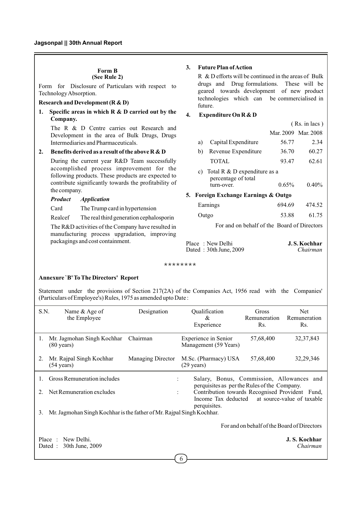#### **Form B (See Rule 2)**

Form for Disclosure of Particulars with respect to Technology Absorption.

#### **Research and Development (R & D)**

**1. Specific areas in which R & D carried out by the Company.**

The R & D Centre carries out Research and Development in the area of Bulk Drugs, Drugs Intermediaries and Pharmaceuticals.

#### **2. Benefits derived as a result of the above R & D**

During the current year R&D Team successfully accomplished process improvement for the following products. These products are expected to contribute significantly towards the profitability of the company.

#### *Product Application*

Card The Trump card in hypertension

Realcef The real third generation cephalosporin

The R&D activities of the Company have resulted in manufacturing process upgradation, improving packagings and cost containment.

#### **3. Future Plan of Action**

R & D efforts will be continued in the areas of Bulk drugs and Drug formulations. These will be geared towards development of new product technologies which can be commercialised in future.

## **4. Expenditure On R & D**

|    |                                                                   | $(Rs. in lacs)$ |                     |
|----|-------------------------------------------------------------------|-----------------|---------------------|
|    |                                                                   |                 | Mar. 2009 Mar. 2008 |
| a) | Capital Expenditure                                               | 56.77           | 2.34                |
| b) | Revenue Expenditure                                               | 36.70           | 60.27               |
|    | <b>TOTAL</b>                                                      | 93.47           | 62.61               |
|    | a) $T_{\alpha+1}$ $D_{\alpha}$ $D_{\alpha}$ means difference as a |                 |                     |

c) Total R & D expenditure as a percentage of total turn-over. 0.65% 0.40%

## **5. Foreign Exchange Earnings & Outgo**

| Earnings | 694.69 | 474.52 |
|----------|--------|--------|
| Outgo    | 53.88  | 61.75  |

For and on behalf of the Board of Directors

| Place: New Delhi       | <b>J.S. Kochhar</b> |
|------------------------|---------------------|
| Dated: 30th June, 2009 | Chairman            |

\*\*\*\*\*\*\*\*

#### **Annexure `B' To The Directors' Report**

Statement under the provisions of Section 217(2A) of the Companies Act, 1956 read with the Companies' (Particulars of Employee's) Rules, 1975 as amended upto Date :

| S.N.                | Name $&$ Age of<br>the Employee                                                                                                   | Designation              | Qualification<br>&<br>Experience                                                                                                                                                                                              | Gross<br>Remuneration<br>Rs.                | Net<br>Remuneration<br>Rs. |
|---------------------|-----------------------------------------------------------------------------------------------------------------------------------|--------------------------|-------------------------------------------------------------------------------------------------------------------------------------------------------------------------------------------------------------------------------|---------------------------------------------|----------------------------|
| 1.                  | Mr. Jagmohan Singh Kochhar<br>$(80 \text{ years})$                                                                                | Chairman                 | Experience in Senior<br>Management (59 Years)                                                                                                                                                                                 | 57,68,400                                   | 32, 37, 843                |
| 2.                  | Mr. Rajpal Singh Kochhar<br>$(54 \text{ years})$                                                                                  | <b>Managing Director</b> | M.Sc. (Pharmacy) USA<br>$(29 \text{ years})$                                                                                                                                                                                  | 57,68,400                                   | 32, 29, 346                |
| 1.<br>$2_{-}$<br>3. | Gross Remuneration includes<br>Net Remuneration excludes<br>Mr. Jagmohan Singh Kochhar is the father of Mr. Rajpal Singh Kochhar. |                          | Salary, Bonus, Commission, Allowances and<br>$\ddot{\phantom{0}}$<br>perquisites as per the Rules of the Company.<br>Contribution towards Recognised Provident Fund,<br>$\ddot{\cdot}$<br>Income Tax deducted<br>perquisites. |                                             | at source-value of taxable |
|                     | New Delhi.<br>Place :                                                                                                             |                          |                                                                                                                                                                                                                               | For and on behalf of the Board of Directors | J. S. Kochhar              |
|                     | 30th June, 2009<br>Dated :                                                                                                        |                          | b                                                                                                                                                                                                                             |                                             | Chairman                   |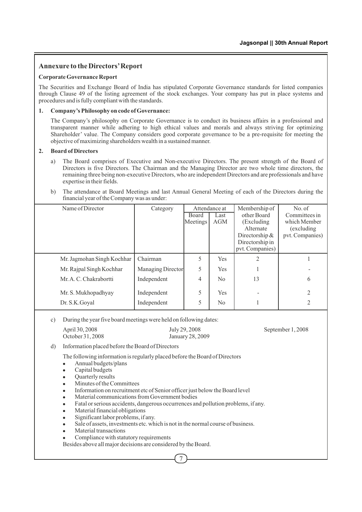# **Annexure to the Directors'Report**

## **Corporate Governance Report**

The Securities and Exchange Board of India has stipulated Corporate Governance standards for listed companies through Clause 49 of the listing agreement of the stock exchanges. Your company has put in place systems and procedures and is fully compliant with the standards.

## **1. Company's Philosophy on code of Governance:**

The Company's philosophy on Corporate Governance is to conduct its business affairs in a professional and transparent manner while adhering to high ethical values and morals and always striving for optimizing Shareholder' value. The Company considers good corporate governance to be a pre-requisite for meeting the objective of maximizing shareholders wealth in a sustained manner.

## **2. Board of Directors**

- a) The Board comprises of Executive and Non-executive Directors. The present strength of the Board of Directors is five Directors. The Chairman and the Managing Director are two whole time directors, the remaining three being non-executive Directors, who are independent Directors and are professionals and have expertise in their fields.
- b) The attendance at Board Meetings and last Annual General Meeting of each of the Directors during the financial year of the Company was as under:

| Name of Director           | Category          | Attendance at     |                | Membership of                      | No. of                        |
|----------------------------|-------------------|-------------------|----------------|------------------------------------|-------------------------------|
|                            |                   | Board<br>Meetings | Last<br>AGM    | other Board<br>(Excluding)         | Committees in<br>which Member |
|                            |                   |                   |                | Alternate                          | (excluding)                   |
|                            |                   |                   |                | Directorship $&$                   | pvt. Companies)               |
|                            |                   |                   |                | Directorship in<br>pvt. Companies) |                               |
| Mr. Jagmohan Singh Kochhar | Chairman          | 5                 | Yes            | 2                                  |                               |
| Mr. Rajpal Singh Kochhar   | Managing Director | 5                 | <b>Yes</b>     |                                    |                               |
| Mr. A. C. Chakrabortti     | Independent       | 4                 | N <sub>0</sub> | 13                                 | 6                             |
| Mr. S. Mukhopadhyay        | Independent       | 5                 | Yes            |                                    | 2                             |
| Dr. S.K. Goyal             | Independent       | 5                 | No             |                                    |                               |

c) During the year five board meetings were held on following dates:

| April 30, 2008   | July 29, 2008    |
|------------------|------------------|
| October 31, 2008 | January 28, 2009 |

September 1, 2008

d) Information placed before the Board of Directors

The following information is regularly placed before the Board of Directors

- <sup>l</sup> Annual budgets/plans
- Capital budgets
- **Ouarterly results**
- <sup>l</sup> Minutes of the Committees
- <sup>l</sup> Information on recruitment etc of Senior officer just below the Board level
- Material communications from Government bodies
- Fatal or serious accidents, dangerous occurrences and pollution problems, if any.

7

- Material financial obligations
- $\bullet$  Significant labor problems, if any.
- Sale of assets, investments etc. which is not in the normal course of business.
- $\bullet$  Material transactions
- Compliance with statutory requirements
- Besides above all major decisions are considered by the Board.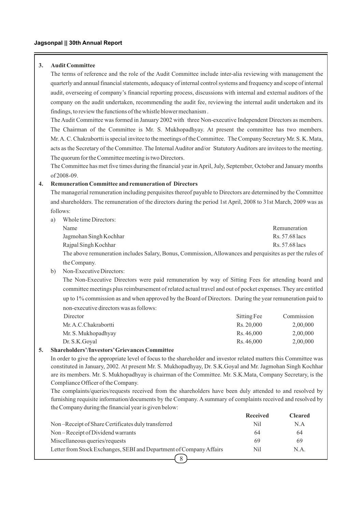## **3. Audit Committee**

The terms of reference and the role of the Audit Committee include inter-alia reviewing with management the quarterly and annual financial statements, adequacy of internal control systems and frequency and scope of internal audit, overseeing of company's financial reporting process, discussions with internal and external auditors of the company on the audit undertaken, recommending the audit fee, reviewing the internal audit undertaken and its findings, to review the functions of the whistle blower mechanism .

The Audit Committee was formed in January 2002 with three Non-executive Independent Directors as members. The Chairman of the Committee is Mr. S. Mukhopadhyay. At present the committee has two members. Mr. A. C. Chakrabortti is special invitee to the meetings of the Committee. The Company Secretary Mr. S. K. Mata, acts as the Secretary of the Committee. The Internal Auditor and/or Statutory Auditors are invitees to the meeting. The quorum for the Committee meeting is two Directors.

The Committee has met five times during the financial year in April, July, September, October and January months of 2008-09.

#### **4. Remuneration Committee and remuneration of Directors**

The managerial remuneration including perquisites thereof payable to Directors are determined by the Committee and shareholders. The remuneration of the directors during the period 1st April, 2008 to 31st March, 2009 was as follows:

a) Whole time Directors:

| Name                                                                                                      | Remuneration   |
|-----------------------------------------------------------------------------------------------------------|----------------|
| Jagmohan Singh Kochhar                                                                                    | Rs. 57.68 lacs |
| Raipal Singh Kochhar                                                                                      | Rs. 57.68 lacs |
| The above remuneration includes Salary, Bonus, Commission, Allowances and perquisites as per the rules of |                |
| the Company.                                                                                              |                |

b) Non-Executive Directors:

The Non-Executive Directors were paid remuneration by way of Sitting Fees for attending board and committee meetings plus reimbursement of related actual travel and out of pocket expenses. They are entitled up to 1% commission as and when approved by the Board of Directors. During the year remuneration paid to non-executive directors was as follows:

| Director              | Sitting Fee | Commission |
|-----------------------|-------------|------------|
| Mr. A.C. Chakrabortti | Rs. 20,000  | 2,00,000   |
| Mr. S. Mukhopadhyay   | Rs. 46,000  | 2,00,000   |
| Dr. S.K. Goval        | Rs. 46,000  | 2,00,000   |
| $\bullet$             |             |            |

## **5. Shareholders'/Investors'Grievances Committee**

In order to give the appropriate level of focus to the shareholder and investor related matters this Committee was constituted in January, 2002. At present Mr. S. Mukhopadhyay, Dr. S.K.Goyal and Mr. Jagmohan Singh Kochhar are its members. Mr. S. Mukhopadhyay is chairman of the Committee. Mr. S.K.Mata, Company Secretary, is the Compliance Officer of the Company.

The complaints/queries/requests received from the shareholders have been duly attended to and resolved by furnishing requisite information/documents by the Company. A summary of complaints received and resolved by the Company during the financial year is given below:

|                                                                     | <b>Received</b> | Cleared |
|---------------------------------------------------------------------|-----------------|---------|
| Non-Receipt of Share Certificates duly transferred                  | Nil             | N.A     |
| Non-Receipt of Dividend warrants                                    | 64              | 64      |
| Miscellaneous queries/requests                                      | 69              | 69      |
| Letter from Stock Exchanges, SEBI and Department of Company Affairs | Nil             | N.A.    |
|                                                                     |                 |         |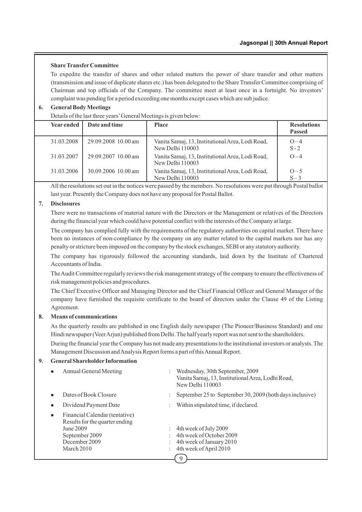## **Share TransferCommittee**

To expedite the transfer of shares and other related matters the power of share transfer and other matters (transmission and issue of duplicate shares etc.) has been delegated to the Share Transfer Committee comprising of Chairman and top officials of the Company. The committee meet at least once in a fortnight. No investors' complaint was pending for a period exceeding one months except cases which are sub judice.

## **6. General Body Meetings**

Details of the last three years'General Meetings is given below:

| <b>Year ended</b> | Date and time       | <b>Place</b>                                                         | <b>Resolutions</b><br><b>Passed</b> |
|-------------------|---------------------|----------------------------------------------------------------------|-------------------------------------|
| 31.03.2008        | 29.09.2008 10.00 am | Vanita Samaj, 13, Institutional Area, Lodi Road,<br>New Delhi 110003 | $O - 4$<br>$S - 2$                  |
| 31.03.2007        | 29.09.2007 10.00 am | Vanita Samaj, 13, Institutional Area, Lodi Road,<br>New Delhi 110003 | $O-4$                               |
| 31.03.2006        | 30.09.2006 10.00 am | Vanita Samaj, 13, Institutional Area, Lodi Road,<br>New Delhi 110003 | $O - 5$<br>$S-3$                    |

All the resolutions set out in the notices were passed by the members. No resolutions were put through Postal ballot last year. Presently the Company does not have any proposal for Postal Ballot.

## **7. Disclosures**

There were no transactions of material nature with the Directors or the Management or relatives of the Directors during the financial year which could have potential conflict with the interests of the Company at large.

The company has complied fully with the requirements of the regulatory authorities on capital market. There have been no instances of non-compliance by the company on any matter related to the capital markets nor has any penalty or stricture been imposed on the company by the stock exchanges, SEBI or any statutory authority.

The company has rigorously followed the accounting standards, laid down by the Institute of Chartered Accountants of India.

The Audit Committee regularly reviews the risk management strategy of the company to ensure the effectiveness of risk management policies and procedures.

The Chief Executive Officer and Managing Director and the Chief Financial Officer and General Manager of the company have furnished the requisite certificate to the board of directors under the Clause 49 of the Listing Agreement.

## **8. Means of communications**

As the quarterly results are published in one English daily newspaper (The Pioneer/Business Standard) and one Hindi newspaper (Veer Arjun) published from Delhi. The half yearly report was not sent to the shareholders.

During the financial year the Company has not made any presentations to the institutional investors or analysts. The Management Discussion and Analysis Report forms a part of this Annual Report.

## **9. General Shareholder Information**

|           | Annual General Meeting                                                                                                         | : Wednesday, 30th September, 2009<br>Vanita Samaj, 13, Institutional Area, Lodhi Road,<br>New Delhi 110003   |
|-----------|--------------------------------------------------------------------------------------------------------------------------------|--------------------------------------------------------------------------------------------------------------|
|           | Dates of Book Closure                                                                                                          | September 25 to September 30, 2009 (both days inclusive)                                                     |
|           | Dividend Payment Date                                                                                                          | Within stipulated time, if declared.                                                                         |
| $\bullet$ | Financial Calendar (tentative)<br>Results for the quarter ending<br>June 2009<br>September 2009<br>December 2009<br>March 2010 | 4th week of July 2009<br>4th week of October 2009<br>4th week of January 2010<br>4th week of April 2010<br>9 |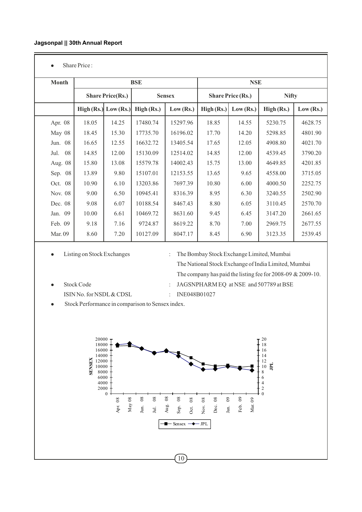• Share Price :

| <b>Month</b> |       |                          | <b>BSE</b>              |          | <b>NSE</b>               |           |              |           |
|--------------|-------|--------------------------|-------------------------|----------|--------------------------|-----------|--------------|-----------|
|              |       | <b>Share Price(Rs.)</b>  | <b>Sensex</b>           |          | <b>Share Price (Rs.)</b> |           | <b>Nifty</b> |           |
|              |       | High $(Rs.)$ Low $(Rs.)$ | Low (Rs.)<br>High (Rs.) |          | High (Rs.)               | Low (Rs.) | High (Rs.)   | Low (Rs.) |
| Apr. 08      | 18.05 | 14.25                    | 17480.74                | 15297.96 | 18.85                    | 14.55     | 5230.75      | 4628.75   |
| May 08       | 18.45 | 15.30                    | 17735.70                | 16196.02 | 17.70                    | 14.20     | 5298.85      | 4801.90   |
| Jun. 08      | 16.65 | 12.55                    | 16632.72                | 13405.54 | 17.65                    | 12.05     | 4908.80      | 4021.70   |
| 08<br>Jul.   | 14.85 | 12.00                    | 15130.09                | 12514.02 | 14.85                    | 12.00     | 4539.45      | 3790.20   |
| Aug. 08      | 15.80 | 13.08                    | 15579.78                | 14002.43 | 15.75                    | 13.00     | 4649.85      | 4201.85   |
| 08<br>Sep.   | 13.89 | 9.80                     | 15107.01                | 12153.55 | 13.65                    | 9.65      | 4558.00      | 3715.05   |
| Oct. 08      | 10.90 | 6.10                     | 13203.86                | 7697.39  | 10.80                    | 6.00      | 4000.50      | 2252.75   |
| Nov. 08      | 9.00  | 6.50                     | 10945.41                | 8316.39  | 8.95                     | 6.30      | 3240.55      | 2502.90   |
| Dec. 08      | 9.08  | 6.07                     | 10188.54                | 8467.43  | 8.80                     | 6.05      | 3110.45      | 2570.70   |
| Jan. 09      | 10.00 | 6.61                     | 10469.72                | 8631.60  | 9.45                     | 6.45      | 3147.20      | 2661.65   |
| Feb. 09      | 9.18  | 7.16                     | 9724.87                 | 8619.22  | 8.70                     | 7.00      | 2969.75      | 2677.55   |
| Mar. 09      | 8.60  | 7.20                     | 10127.09                | 8047.17  | 8.45                     | 6.90      | 3123.35      | 2539.45   |

• Listing on Stock Exchanges : The Bombay Stock Exchange Limited, Mumbai The National Stock Exchange of India Limited, Mumbai The company has paid the listing fee for 2008-09 & 2009-10. <sup>l</sup> Stock Code : JAGSNPHARM EQ at NSE and 507789 at BSE

- ISIN No. for NSDL & CDSL : INE048B01027
	-
- Stock Performance in comparison to Sensex index.

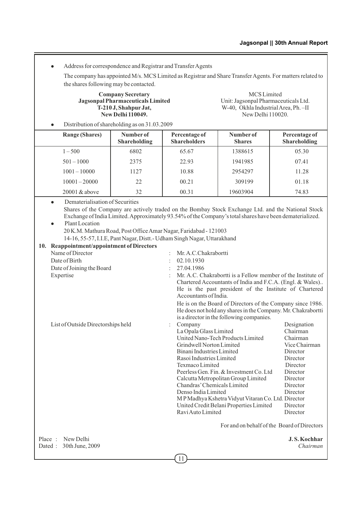• Address for correspondence and Registrar and Transfer Agents

The company has appointed M/s. MCS Limited as Registrar and Share Transfer Agents. For matters related to the shares following may be contacted.

**Jagsonpal Pharmaceuticals Limited<br>T-210 J, Shahpur Jat, New Delhi 110049.** 

**Company Secretary** MCS Limited<br> **Company Secretary** MCS Limited<br>
Unit: Jagsonpal Pharmaceuticals Ltd. W-40, Okhla Industrial Area, Ph. –II<br>New Delhi 110020.

Distribution of shareholding as on 31.03.2009

| <b>Range (Shares)</b> | Number of<br><b>Shareholding</b> | Percentage of<br><b>Shareholders</b> | Number of<br><b>Shares</b> | Percentage of<br><b>Shareholding</b> |
|-----------------------|----------------------------------|--------------------------------------|----------------------------|--------------------------------------|
| $1 - 500$             | 6802                             | 65.67                                | 1388615                    | 05.30                                |
| $501 - 1000$          | 2375                             | 22.93                                | 1941985                    | 07.41                                |
| $1001 - 10000$        | 1127                             | 10.88                                | 2954297                    | 11.28                                |
| $10001 - 20000$       | 22                               | 00.21                                | 309199                     | 01.18                                |
| $20001 \& above$      | 32                               | 00.31                                | 19603904                   | 74.83                                |

- Dematerialisation of Securities Shares of the Company are actively traded on the Bombay Stock Exchange Ltd. and the National Stock Exchange of India Limited. Approximately 93.54% of the Company's total shares have been dematerialized.
- Plant Location 20 K.M. Mathura Road, Post Office Amar Nagar, Faridabad - 121003

14-16, 55-57, I.I.E, Pant Nagar, Distt.- Udham Singh Nagar, Uttarakhand

|                   | 10. Reappointment/appointment of Directors |                      |                                                                                                                                                                                                                                                                                                                                                                                                                                               |                                                                                                                                                                  |
|-------------------|--------------------------------------------|----------------------|-----------------------------------------------------------------------------------------------------------------------------------------------------------------------------------------------------------------------------------------------------------------------------------------------------------------------------------------------------------------------------------------------------------------------------------------------|------------------------------------------------------------------------------------------------------------------------------------------------------------------|
|                   | Name of Director                           | $\ddot{\phantom{a}}$ | Mr. A.C.Chakrabortti                                                                                                                                                                                                                                                                                                                                                                                                                          |                                                                                                                                                                  |
|                   | Date of Birth                              |                      | 02.10.1930                                                                                                                                                                                                                                                                                                                                                                                                                                    |                                                                                                                                                                  |
|                   | Date of Joining the Board                  |                      | 27.04.1986                                                                                                                                                                                                                                                                                                                                                                                                                                    |                                                                                                                                                                  |
|                   | Expertise                                  |                      | Mr. A.C. Chakrabortti is a Fellow member of the Institute of<br>Chartered Accountants of India and F.C.A. (Engl. & Wales)<br>He is the past president of the Institute of Chartered<br>Accountants of India.<br>He is on the Board of Directors of the Company since 1986.<br>He does not hold any shares in the Company. Mr. Chakrabortti                                                                                                    |                                                                                                                                                                  |
|                   |                                            |                      | is a director in the following companies.                                                                                                                                                                                                                                                                                                                                                                                                     |                                                                                                                                                                  |
|                   | List of Outside Directorships held         |                      | Company<br>La Opala Glass Limited<br>United Nano-Tech Products Limited<br>Grindwell Norton Limited<br>Binani Industries Limited<br>Rasoi Industries Limited<br>Texmaco Limited<br>Peerless Gen. Fin. & Investment Co. Ltd.<br>Calcutta Metropolitan Group Limited<br>Chandras' Chemicals Limited<br>Denso India Limited<br>MP Madhya Kshetra Vidyut Vitaran Co. Ltd. Director<br>United Credit Belani Properties Limited<br>Ravi Auto Limited | Designation<br>Chairman<br>Chairman<br>Vice Chairman<br>Director<br>Director<br>Director<br>Director<br>Director<br>Director<br>Director<br>Director<br>Director |
|                   |                                            |                      | For and on behalf of the Board of Directors                                                                                                                                                                                                                                                                                                                                                                                                   |                                                                                                                                                                  |
| Place:<br>Dated : | New Delhi<br>30th June, 2009               |                      |                                                                                                                                                                                                                                                                                                                                                                                                                                               | <b>J.S. Kochhar</b><br>Chairman                                                                                                                                  |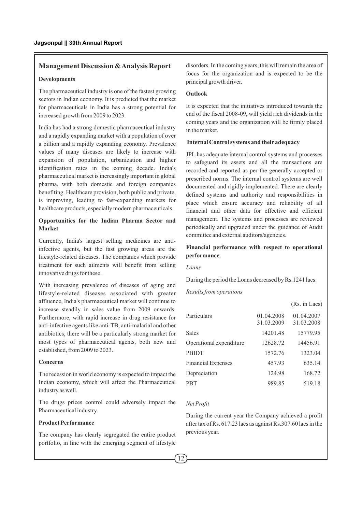## **Management Discussion & Analysis Report**

#### **Developments**

The pharmaceutical industry is one of the fastest growing sectors in Indian economy. It is predicted that the market for pharmaceuticals in India has a strong potential for increased growth from 2009 to 2023.

India has had a strong domestic pharmaceutical industry and a rapidly expanding market with a population of over a billion and a rapidly expanding economy. Prevalence values of many diseases are likely to increase with expansion of population, urbanization and higher identification rates in the coming decade. India's pharmaceutical market is increasingly important in global pharma, with both domestic and foreign companies benefiting. Healthcare provision, both public and private, is improving, leading to fast-expanding markets for healthcare products, especially modern pharmaceuticals.

## **Opportunities for the Indian Pharma Sector and Market**

Currently, India's largest selling medicines are antiinfective agents, but the fast growing areas are the lifestyle-related diseases. The companies which provide treatment for such ailments will benefit from selling innovative drugs for these.

With increasing prevalence of diseases of aging and lifestyle-related diseases associated with greater affluence, India's pharmaceutical market will continue to increase steadily in sales value from 2009 onwards. Furthermore, with rapid increase in drug resistance for anti-infective agents like anti-TB, anti-malarial and other antibiotics, there will be a particularly strong market for most types of pharmaceutical agents, both new and established, from 2009 to 2023.

#### **Concerns**

The recession in world economy is expected to impact the Indian economy, which will affect the Pharmaceutical industry as well.

The drugs prices control could adversely impact the Pharmaceutical industry.

## **Product Performance**

The company has clearly segregated the entire product portfolio, in line with the emerging segment of lifestyle disorders. In the coming years, this will remain the area of focus for the organization and is expected to be the principal growth driver.

#### **Outlook**

It is expected that the initiatives introduced towards the end of the fiscal 2008-09, will yield rich dividends in the coming years and the organization will be firmly placed in the market.

#### **Internal Control systems and their adequacy**

JPL has adequate internal control systems and processes to safeguard its assets and all the transactions are recorded and reported as per the generally accepted or prescribed norms. The internal control systems are well documented and rigidly implemented. There are clearly defined systems and authority and responsibilities in place which ensure accuracy and reliability of all financial and other data for effective and efficient management. The systems and processes are reviewed periodically and upgraded under the guidance of Audit committee and external auditors/agencies.

## **Financial performance with respect to operational performance**

#### *Loans*

During the period the Loans decreased by Rs.1241 lacs.

#### *Results from operations*

|                           |                          | (Rs. in Lacs)            |
|---------------------------|--------------------------|--------------------------|
| Particulars               | 01.04.2008<br>31.03.2009 | 01.04.2007<br>31.03.2008 |
| <b>Sales</b>              | 14201.48                 | 15779.95                 |
| Operational expenditure   | 12628.72                 | 14456.91                 |
| <b>PBIDT</b>              | 1572.76                  | 1323.04                  |
| <b>Financial Expenses</b> | 457.93                   | 635.14                   |
| Depreciation              | 124.98                   | 168.72                   |
| <b>PBT</b>                | 989.85                   | 519.18                   |
|                           |                          |                          |

#### *Net Profit*

During the current year the Company achieved a profit after tax of Rs. 617.23 lacs as against Rs.307.60 lacs in the previous year.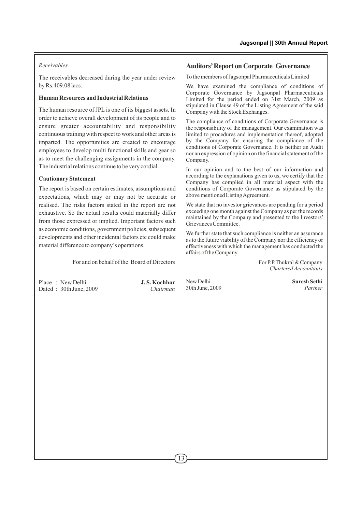## *Receivables*

The receivables decreased during the year under review by Rs.409.08 lacs.

## **Human Resources and Industrial Relations**

The human resource of JPL is one of its biggest assets. In order to achieve overall development of its people and to ensure greater accountability and responsibility continuous training with respect to work and other areas is imparted. The opportunities are created to encourage employees to develop multi functional skills and gear so as to meet the challenging assignments in the company. The industrial relations continue to be very cordial.

## **Cautionary Statement**

The report is based on certain estimates, assumptions and expectations, which may or may not be accurate or realised. The risks factors stated in the report are not exhaustive. So the actual results could materially differ from those expressed or implied. Important factors such as economic conditions, government policies, subsequent developments and other incidental factors etc could make material difference to company's operations.

For and on behalf of the Board of Directors

Place : New Delhi. **J. S. Kochhar**<br>Dated : 30th June 2009 Chairman Dated : 30th June, 2009

## **Auditors'Report on Corporate Governance**

To the members of Jagsonpal Pharmaceuticals Limited

We have examined the compliance of conditions of Corporate Governance by Jagsonpal Pharmaceuticals Limited for the period ended on 31st March, 2009 as stipulated in Clause 49 of the Listing Agreement of the said Company with the Stock Exchanges.

The compliance of conditions of Corporate Governance is the responsibility of the management. Our examination was limited to procedures and implementation thereof, adopted by the Company for ensuring the compliance of the conditions of Corporate Governance. It is neither an Audit nor an expression of opinion on the financial statement of the Company.

In our opinion and to the best of our information and according to the explanations given to us, we certify that the Company has complied in all material aspect with the conditions of Corporate Governance as stipulated by the above mentioned Listing Agreement.

We state that no investor grievances are pending for a period exceeding one month against the Company as per the records maintained by the Company and presented to the Investors' Grievances Committee.

We further state that such compliance is neither an assurance as to the future viability of the Company nor the efficiency or effectiveness with which the management has conducted the affairs of the Company.

> For P.P.Thukral & Company *Chartered Accountants*

New Delhi **Suresh Sethi** 30th June, 2009 *Partner*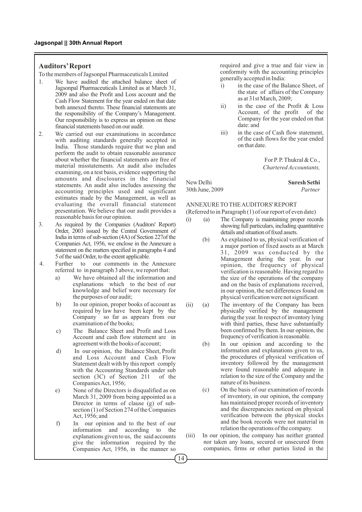#### **Auditors'Report**

To the members of Jagsonpal Pharmaceuticals Limited

- 1. We have audited the attached balance sheet of Jagsonpal Pharmaceuticals Limited as at March 31, 2009 and also the Profit and Loss account and the Cash Flow Statement for the year ended on that date both annexed thereto. These financial statements are the responsibility of the Company's Management. Our responsibility is to express an opinion on these financial statements based on our audit.
- 2. We carried out our examinations in accordance with auditing standards generally accepted in India. Those standards require that we plan and perform the audit to obtain reasonable assurance about whether the financial statements are free of material misstatements. An audit also includes examining, on a test basis, evidence supporting the amounts and disclosures in the financial statements. An audit also includes assessing the accounting principles used and significant estimates made by the Management, as well as evaluating the overall financial statement presentation. We believe that our audit provides a reasonable basis for our opinion.
- 3. As required by the Companies (Auditors' Report) Order, 2003 issued by the Central Government of India in terms of sub-section (4A) of Section 227of the Companies Act, 1956, we enclose in the Annexure a statement on the matters specified in paragraphs 4 and 5 of the said Order, to the extent applicable.
- 4. Further to our comments in the Annexure referred to in paragraph 3 above, we report that:
	- a) We have obtained all the information and explanations which to the best of our knowledge and belief were necessary for the purposes of our audit;
	- b) In our opinion, proper books of account as required by law have been kept by the Company so far as appears from our examination of the books;
	- c) The Balance Sheet and Profit and Loss Account and cash flow statement are in agreement with the books of account;
	- d) In our opinion, the Balance Sheet, Profit and Loss Account and Cash Flow Statement dealt with by this report comply with the Accounting Standards under sub section (3C) of Section 211 of the Companies Act, 1956;
	- e) None of the Directors is disqualified as on March 31, 2009 from being appointed as a Director in terms of clause  $(g)$  of subsection (1) of Section 274 of the Companies Act, 1956; and
	- f) In our opinion and to the best of our information and according to the explanations given to us, the said accounts give the information required by the Companies Act, 1956, in the manner so

required and give a true and fair view in conformity with the accounting principles generally accepted in India:

- i) in the case of the Balance Sheet, of the state of affairs of the Company as at 31st March, 2009;
- ii) in the case of the Profit & Loss Account, of the profit of the Company for the year ended on that date: and
- iii) in the case of Cash flow statement, of the cash flows for the year ended on that date.

For P. P. Thukral & Co., *Chartered Accountants,*

New Delhi **Suresh Sethi**

# 30th June, 2009 *Partner*

## ANNEXURE TO THE AUDITORS' REPORT

(Referred to in Paragraph (1) of our report of even date)

- (i) (a) The Company is maintaining proper records showing full particulars, including quantitative details and situation of fixed assets.
	- (b) As explained to us, physical verification of a major portion of fixed assets as at March 31, 2009 was conducted by the Management during the year. In our opinion, the frequency of physical verification is reasonable. Having regard to the size of the operations of the company and on the basis of explanations received, in our opinion, the net differences found on physical verification were not significant.
- (ii) (a) The inventory of the Company has been physically verified by the management during the year. In respect of inventory lying with third parties, these have substantially been confirmed by them. In our opinion, the frequency of verification is reasonable.
	- (b) In our opinion and according to the information and explanations given to us, the procedures of physical verification of inventory followed by the management were found reasonable and adequate in relation to the size of the Company and the nature of its business.
	- (c) On the basis of our examination of records of inventory, in our opinion, the company has maintained proper records of inventory and the discrepancies noticed on physical verification between the physical stocks and the book records were not material in relation the operations of the company.
- (iii) In our opinion, the company has neither granted nor taken any loans, secured or unsecured from companies, firms or other parties listed in the

14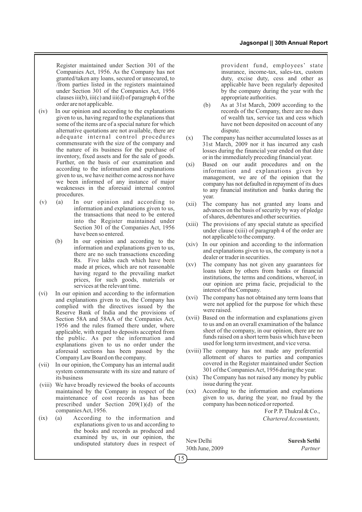Register maintained under Section 301 of the Companies Act, 1956. As the Company has not granted/taken any loans, secured or unsecured, to /from parties listed in the registers maintained under Section 301 of the Companies Act, 1956 clauses iii(b), iii(c) and iii(d) of paragraph 4 of the order are not applicable.

- (iv) In our opinion and according to the explanations given to us, having regard to the explanations that some of the items are of a special nature for which alternative quotations are not available, there are adequate internal control procedures commensurate with the size of the company and the nature of its business for the purchase of inventory, fixed assets and for the sale of goods. Further, on the basis of our examination and according to the information and explanations given to us, we have neither come across nor have we been informed of any instance of major weaknesses in the aforesaid internal control procedures.
- (v) (a) In our opinion and according to information and explanations given to us, the transactions that need to be entered into the Register maintained under Section 301 of the Companies Act, 1956 have been so entered.
	- (b) In our opinion and according to the information and explanations given to us, there are no such transactions exceeding Rs. Five lakhs each which have been made at prices, which are not reasonable having regard to the prevailing market prices, for such goods, materials or services at the relevant time.
- (vi) In our opinion and according to the information and explanations given to us, the Company has complied with the directives issued by the Reserve Bank of India and the provisions of Section 58A and 58AA of the Companies Act, 1956 and the rules framed there under, where applicable, with regard to deposits accepted from the public. As per the information and explanations given to us no order under the aforesaid sections has been passed by the Company Law Board on the company.
- (vii) In our opinion, the Company has an internal audit system commensurate with its size and nature of its business
- (viii) We have broadly reviewed the books of accounts maintained by the Company in respect of the maintenance of cost records as has been prescribed under Section 209(1)(d) of the companies Act, 1956.
- (ix) (a) According to the information and explanations given to us and according to the books and records as produced and examined by us, in our opinion, the undisputed statutory dues in respect of

provident fund, employees' state insurance, income-tax, sales-tax, custom duty, excise duty, cess and other as applicable have been regularly deposited by the company during the year with the appropriate authorities.

- (b) As at 31st March, 2009 according to the records of the Company, there are no dues of wealth tax, service tax and cess which have not been deposited on account of any dispute.
- (x) The company has neither accumulated losses as at 31st March, 2009 nor it has incurred any cash losses during the financial year ended on that date or in the immediately preceding financial year.
- (xi) Based on our audit procedures and on the information and explanations given by management, we are of the opinion that the company has not defaulted in repayment of its dues to any financial institution and banks during the year.
- (xii) The company has not granted any loans and advances on the basis of security by way of pledge of shares, debentures and other securities.
- (xiii) The provisions of any special statute as specified under clause (xiii) of paragraph 4 of the order are not applicable to the company.
- (xiv) In our opinion and according to the information and explanations given to us, the company is not a dealer or trader in securities.
- (xv) The company has not given any guarantees for loans taken by others from banks or financial institutions, the terms and conditions, whereof, in our opinion are prima facie, prejudicial to the interest of the Company.
- (xvi) The company has not obtained any term loans that were not applied for the purpose for which these were raised.
- (xvii) Based on the information and explanations given to us and on an overall examination of the balance sheet of the company, in our opinion, there are no funds raised on a short term basis which have been used for long term investment, and vice versa.
- (xviii) The company has not made any preferential allotment of shares to parties and companies covered in the Register maintained under Section 301 of the Companies Act, 1956 during the year.
- (xix) The Company has not raised any money by public issue during the year.
- (xx) According to the information and explanations given to us, during the year, no fraud by the company has been noticed or reported.

For P. P. Thukral & Co., *Chartered Accountants,*

New Delhi **Suresh Sethi** 30th June, 2009 *Partner*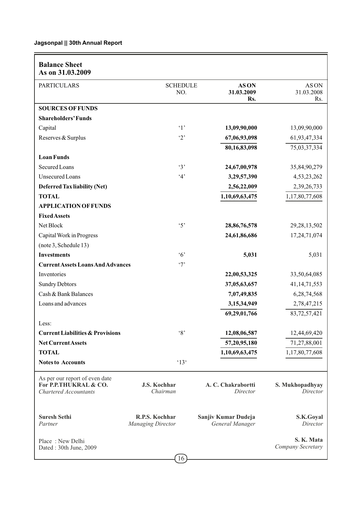| <b>Balance Sheet</b><br>As on 31.03.2009                                                |                                            |                                        |                                 |
|-----------------------------------------------------------------------------------------|--------------------------------------------|----------------------------------------|---------------------------------|
| <b>PARTICULARS</b>                                                                      | <b>SCHEDULE</b><br>NO.                     | <b>ASON</b><br>31.03.2009<br>Rs.       | AS ON<br>31.03.2008<br>Rs.      |
| <b>SOURCES OF FUNDS</b>                                                                 |                                            |                                        |                                 |
| <b>Shareholders' Funds</b>                                                              |                                            |                                        |                                 |
| Capital                                                                                 | $\cdot_1$ ,                                | 13,09,90,000                           | 13,09,90,000                    |
| Reserves & Surplus                                                                      | $\cdot_2$                                  | 67,06,93,098                           | 61,93,47,334                    |
|                                                                                         |                                            | 80,16,83,098                           | 75,03,37,334                    |
| <b>Loan Funds</b>                                                                       |                                            |                                        |                                 |
| Secured Loans                                                                           | $\cdot$ 3'                                 | 24,67,00,978                           | 35,84,90,279                    |
| <b>Unsecured Loans</b>                                                                  | 4'                                         | 3,29,57,390                            | 4,53,23,262                     |
| <b>Deferred Tax liability (Net)</b>                                                     |                                            | 2,56,22,009                            | 2,39,26,733                     |
| <b>TOTAL</b>                                                                            |                                            | 1,10,69,63,475                         | 1,17,80,77,608                  |
| <b>APPLICATION OF FUNDS</b>                                                             |                                            |                                        |                                 |
| <b>Fixed Assets</b>                                                                     |                                            |                                        |                                 |
| Net Block                                                                               | $\cdot$ 5'                                 | 28,86,76,578                           | 29, 28, 13, 502                 |
| Capital Work in Progress                                                                |                                            | 24,61,86,686                           | 17,24,71,074                    |
| (note 3, Schedule 13)                                                                   |                                            |                                        |                                 |
| <b>Investments</b>                                                                      | $\cdot$ 6'                                 | 5,031                                  | 5,031                           |
| <b>Current Assets Loans And Advances</b>                                                | $\cdot$ 7'                                 |                                        |                                 |
| Inventories                                                                             |                                            | 22,00,53,325                           | 33,50,64,085                    |
| <b>Sundry Debtors</b>                                                                   |                                            | 37,05,63,657                           | 41, 14, 71, 553                 |
| Cash & Bank Balances                                                                    |                                            | 7,07,49,835                            | 6,28,74,568                     |
| Loans and advances                                                                      |                                            | 3,15,34,949                            | 2,78,47,215                     |
|                                                                                         |                                            | 69,29,01,766                           | 83,72,57,421                    |
| Less:                                                                                   |                                            |                                        |                                 |
| <b>Current Liabilities &amp; Provisions</b>                                             | $\cdot_8$                                  | 12,08,06,587                           | 12,44,69,420                    |
| <b>Net Current Assets</b>                                                               |                                            | 57,20,95,180                           | 71,27,88,001                    |
| <b>TOTAL</b>                                                                            |                                            | 1,10,69,63,475                         | 1,17,80,77,608                  |
| <b>Notes to Accounts</b>                                                                | $^{\circ}13^{\circ}$                       |                                        |                                 |
| As per our report of even date<br>For P.P.THUKRAL & CO.<br><b>Chartered Accountants</b> | J.S. Kochhar<br>Chairman                   | A. C. Chakrabortti<br>Director         | S. Mukhopadhyay<br>Director     |
| <b>Suresh Sethi</b><br>Partner                                                          | R.P.S. Kochhar<br><b>Managing Director</b> | Sanjiv Kumar Dudeja<br>General Manager | S.K.Goyal<br>Director           |
| Place: New Delhi<br>Dated: 30th June, 2009                                              | $\sqrt{16}$                                |                                        | S. K. Mata<br>Company Secretary |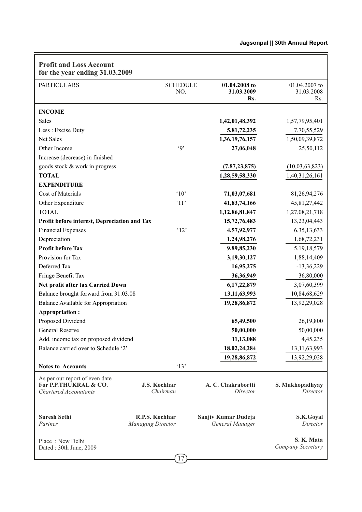| <b>Profit and Loss Account</b><br>for the year ending 31.03.2009                        |                                            |                        |                                        |                                    |
|-----------------------------------------------------------------------------------------|--------------------------------------------|------------------------|----------------------------------------|------------------------------------|
| <b>PARTICULARS</b>                                                                      |                                            | <b>SCHEDULE</b><br>NO. | 01.04.2008 to<br>31.03.2009<br>Rs.     | 01.04.2007 to<br>31.03.2008<br>Rs. |
| <b>INCOME</b>                                                                           |                                            |                        |                                        |                                    |
| <b>Sales</b>                                                                            |                                            |                        | 1,42,01,48,392                         | 1,57,79,95,401                     |
| Less : Excise Duty                                                                      |                                            |                        | 5,81,72,235                            | 7,70,55,529                        |
| Net Sales                                                                               |                                            |                        | 1,36,19,76,157                         | 1,50,09,39,872                     |
| Other Income                                                                            |                                            | $\cdot$ <sup>o</sup>   | 27,06,048                              | 25,50,112                          |
| Increase (decrease) in finished                                                         |                                            |                        |                                        |                                    |
| goods stock & work in progress                                                          |                                            |                        | (7,87,23,875)                          | (10,03,63,823)                     |
| <b>TOTAL</b>                                                                            |                                            |                        | 1,28,59,58,330                         | 1,40,31,26,161                     |
| <b>EXPENDITURE</b>                                                                      |                                            |                        |                                        |                                    |
| Cost of Materials                                                                       |                                            | $^{\circ}10^{\circ}$   | 71,03,07,681                           | 81,26,94,276                       |
| Other Expenditure                                                                       |                                            | '11'                   | 41,83,74,166                           | 45, 81, 27, 442                    |
| <b>TOTAL</b>                                                                            |                                            |                        | 1,12,86,81,847                         | 1,27,08,21,718                     |
| Profit before interest, Depreciation and Tax                                            |                                            |                        | 15,72,76,483                           | 13,23,04,443                       |
| <b>Financial Expenses</b>                                                               |                                            | '12'                   | 4,57,92,977                            | 6, 35, 13, 633                     |
| Depreciation                                                                            |                                            |                        | 1,24,98,276                            | 1,68,72,231                        |
| <b>Profit before Tax</b>                                                                |                                            |                        | 9,89,85,230                            | 5, 19, 18, 579                     |
| Provision for Tax                                                                       |                                            |                        | 3,19,30,127                            | 1,88,14,409                        |
| Deferred Tax                                                                            |                                            |                        | 16,95,275                              | $-13,36,229$                       |
| Fringe Benefit Tax                                                                      |                                            |                        | 36, 36, 949                            | 36,80,000                          |
| Net profit after tax Carried Down                                                       |                                            |                        | 6,17,22,879                            | 3,07,60,399                        |
| Balance brought forward from 31.03.08                                                   |                                            |                        | 13, 11, 63, 993                        | 10,84,68,629                       |
| Balance Available for Appropriation                                                     |                                            |                        | 19,28,86,872                           | 13,92,29,028                       |
| <b>Appropriation:</b>                                                                   |                                            |                        |                                        |                                    |
| Proposed Dividend                                                                       |                                            |                        | 65,49,500                              | 26,19,800                          |
| General Reserve                                                                         |                                            |                        | 50,00,000                              | 50,00,000                          |
| Add. income tax on proposed dividend                                                    |                                            |                        | 11,13,088                              | 4,45,235                           |
| Balance carried over to Schedule '2'                                                    |                                            |                        | 18,02,24,284                           | 13, 11, 63, 993                    |
|                                                                                         |                                            |                        | 19,28,86,872                           | 13,92,29,028                       |
| <b>Notes to Accounts</b>                                                                |                                            | '13'                   |                                        |                                    |
| As per our report of even date<br>For P.P.THUKRAL & CO.<br><b>Chartered Accountants</b> | J.S. Kochhar<br>Chairman                   |                        | A. C. Chakrabortti<br>Director         | S. Mukhopadhyay<br>Director        |
| <b>Suresh Sethi</b><br>Partner                                                          | R.P.S. Kochhar<br><b>Managing Director</b> |                        | Sanjiv Kumar Dudeja<br>General Manager | S.K.Goyal<br>Director              |
| Place: New Delhi<br>Dated: 30th June, 2009                                              |                                            | $\sqrt{17}$            |                                        | S. K. Mata<br>Company Secretary    |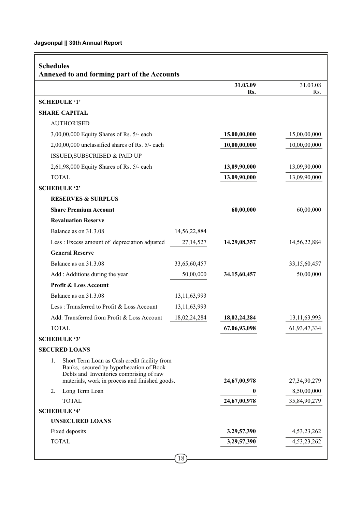| <b>Schedules</b><br>Annexed to and forming part of the Accounts                                                                          |                 |                 |
|------------------------------------------------------------------------------------------------------------------------------------------|-----------------|-----------------|
|                                                                                                                                          | 31.03.09<br>Rs. | 31.03.08<br>Rs. |
| <b>SCHEDULE '1'</b>                                                                                                                      |                 |                 |
| <b>SHARE CAPITAL</b>                                                                                                                     |                 |                 |
| <b>AUTHORISED</b>                                                                                                                        |                 |                 |
| 3,00,00,000 Equity Shares of Rs. 5/- each                                                                                                | 15,00,00,000    | 15,00,00,000    |
| 2,00,00,000 unclassified shares of Rs. 5/- each                                                                                          | 10,00,00,000    | 10,00,00,000    |
| ISSUED, SUBSCRIBED & PAID UP                                                                                                             |                 |                 |
| 2,61,98,000 Equity Shares of Rs. 5/- each                                                                                                | 13,09,90,000    | 13,09,90,000    |
| <b>TOTAL</b>                                                                                                                             | 13,09,90,000    | 13,09,90,000    |
| <b>SCHEDULE '2'</b>                                                                                                                      |                 |                 |
| <b>RESERVES &amp; SURPLUS</b>                                                                                                            |                 |                 |
| <b>Share Premium Account</b>                                                                                                             | 60,00,000       | 60,00,000       |
| <b>Revaluation Reserve</b>                                                                                                               |                 |                 |
| Balance as on 31.3.08<br>14,56,22,884                                                                                                    |                 |                 |
| Less : Excess amount of depreciation adjusted<br>27, 14, 527                                                                             | 14,29,08,357    | 14,56,22,884    |
| <b>General Reserve</b>                                                                                                                   |                 |                 |
| Balance as on 31.3.08<br>33,65,60,457                                                                                                    |                 | 33,15,60,457    |
| Add : Additions during the year<br>50,00,000                                                                                             | 34,15,60,457    | 50,00,000       |
| Profit & Loss Account                                                                                                                    |                 |                 |
| Balance as on 31.3.08<br>13, 11, 63, 993                                                                                                 |                 |                 |
| 13,11,63,993<br>Less: Transferred to Profit & Loss Account                                                                               |                 |                 |
| Add: Transferred from Profit & Loss Account<br>18,02,24,284                                                                              | 18,02,24,284    | 13, 11, 63, 993 |
| <b>TOTAL</b>                                                                                                                             | 67,06,93,098    | 61,93,47,334    |
| <b>SCHEDULE '3'</b>                                                                                                                      |                 |                 |
| <b>SECURED LOANS</b>                                                                                                                     |                 |                 |
| 1.<br>Short Term Loan as Cash credit facility from<br>Banks, secured by hypothecation of Book<br>Debts and Inventories comprising of raw |                 |                 |
| materials, work in process and finished goods.                                                                                           | 24,67,00,978    | 27,34,90,279    |
| 2.<br>Long Term Loan                                                                                                                     | 0               | 8,50,00,000     |
| <b>TOTAL</b>                                                                                                                             | 24,67,00,978    | 35,84,90,279    |
| <b>SCHEDULE '4'</b><br><b>UNSECURED LOANS</b>                                                                                            |                 |                 |
| Fixed deposits                                                                                                                           | 3,29,57,390     | 4,53,23,262     |
| <b>TOTAL</b>                                                                                                                             | 3,29,57,390     | 4, 53, 23, 262  |
| $\sqrt{18}$                                                                                                                              |                 |                 |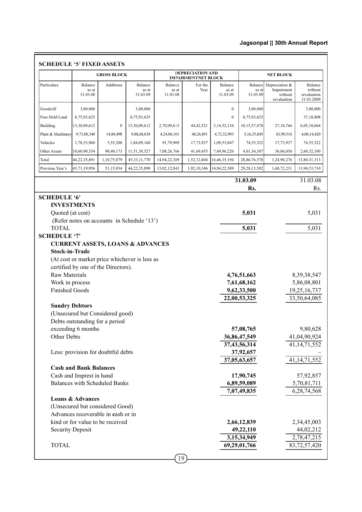|                         |                               | <b>GROSS BLOCK</b>                   |                                               |                  | <b>DEPRECIATION AND</b><br><b>IMPAIRMENTNET BLOCK</b> |                  |                             | <b>NET BLOCK</b>             |                                                                                                                                                             |
|-------------------------|-------------------------------|--------------------------------------|-----------------------------------------------|------------------|-------------------------------------------------------|------------------|-----------------------------|------------------------------|-------------------------------------------------------------------------------------------------------------------------------------------------------------|
| Particulars             | Balance<br>as at              | Additions                            | Balance<br>as at                              | Balance<br>as at | For the<br>Year                                       | Balance<br>as at | <b>Balance</b><br>as at     | Depreciation &<br>Impairment | Balance<br>without                                                                                                                                          |
|                         | 31.03.08                      |                                      | 31.03.09                                      | 31.03.08         |                                                       | 31.03.09         | 31.03.09                    | without<br>revaluation       | revaluation<br>31.03.2009                                                                                                                                   |
| Goodwill                | 3,00,000                      |                                      | 3,00,000                                      |                  |                                                       | $\mathbf{0}$     | 3,00,000                    |                              | 3,00,000                                                                                                                                                    |
| Free Hold Land          | 8,75,93,625                   |                                      | 8,75,93,625                                   |                  |                                                       | $\boldsymbol{0}$ | 8,75,93,625                 |                              | 37,18,808                                                                                                                                                   |
| Building                | 13,30,09,612                  | $\boldsymbol{0}$                     | 13,30,09,612                                  | 2,70,09,613      | 44, 42, 521                                           | 3,14,52,134      | 10,15,57,478                | 27,18,766                    | 6,05,10,664                                                                                                                                                 |
| Plant & Machinery       | 9,73,88,340                   | 14,80,498                            | 9,88,68,838                                   | 4,24,06,101      | 48,26,891                                             | 4,72,32,993      | 5,16,35,845                 | 43,99,516                    | 4,00,14,420                                                                                                                                                 |
| Vehicles                | 1,78,53,960                   | 5,55,208                             | 1,84,09,168                                   | 91,79,909        | 17,73,937                                             | 1,09,53,847      | 74,55,322                   | 17,73,937                    | 74,55,322                                                                                                                                                   |
| Other Assets            | 10,60,90,354                  | 90,40,173                            | 11,51,30,527                                  | 7,08,26,766      | 41,69,455                                             | 7,49,96,220      | 4,01,34,307                 | 36,06,056                    | 2,60,32,100                                                                                                                                                 |
| Total                   | 44,22,35,891                  | 1,10,75,879                          | 45, 33, 11, 770                               | 14,94,22,389     | 1,52,12,804                                           | 16,46,35,194     | 28,86,76,578                | 1,24,98,276                  | 13,80,31,313                                                                                                                                                |
| Previous Year's         | 43,71,19,956                  | 51,15,934                            | 44,22,35,890                                  | 13,02,12,043     | 1,92,10,346                                           | 14,94,22,389     | 29, 28, 13, 502             | 1,68,72,231                  | 13,94,53,710                                                                                                                                                |
|                         |                               |                                      |                                               |                  |                                                       |                  |                             |                              |                                                                                                                                                             |
|                         |                               |                                      |                                               |                  |                                                       |                  | 31.03.09<br>Rs.             |                              | 31.03.08<br>Rs.                                                                                                                                             |
| <b>SCHEDULE '6'</b>     |                               |                                      |                                               |                  |                                                       |                  |                             |                              |                                                                                                                                                             |
|                         | <b>INVESTMENTS</b>            |                                      |                                               |                  |                                                       |                  |                             |                              |                                                                                                                                                             |
| Quoted (at cost)        |                               |                                      |                                               |                  |                                                       |                  | 5,031                       |                              | 5,031                                                                                                                                                       |
| <b>TOTAL</b>            |                               |                                      | (Refer notes on accounts in Schedule '13')    |                  |                                                       |                  | 5,031                       |                              | 5,031                                                                                                                                                       |
| <b>SCHEDULE '7'</b>     |                               |                                      |                                               |                  |                                                       |                  |                             |                              |                                                                                                                                                             |
|                         |                               |                                      | <b>CURRENT ASSETS, LOANS &amp; ADVANCES</b>   |                  |                                                       |                  |                             |                              |                                                                                                                                                             |
| <b>Stock-in-Trade</b>   |                               |                                      |                                               |                  |                                                       |                  |                             |                              |                                                                                                                                                             |
|                         |                               |                                      |                                               |                  |                                                       |                  |                             |                              |                                                                                                                                                             |
|                         |                               |                                      |                                               |                  |                                                       |                  |                             |                              |                                                                                                                                                             |
|                         |                               |                                      | (At cost or market price whichever is less as |                  |                                                       |                  |                             |                              |                                                                                                                                                             |
|                         |                               | certified by one of the Directors).  |                                               |                  |                                                       |                  |                             |                              |                                                                                                                                                             |
| Raw Materials           |                               |                                      |                                               |                  |                                                       |                  | 4,76,51,663                 |                              |                                                                                                                                                             |
| Work in process         |                               |                                      |                                               |                  |                                                       |                  | 7,61,68,162                 |                              |                                                                                                                                                             |
| <b>Finished Goods</b>   |                               |                                      |                                               |                  |                                                       |                  | 9,62,33,500                 |                              |                                                                                                                                                             |
|                         |                               |                                      |                                               |                  |                                                       |                  | 22,00,53,325                |                              |                                                                                                                                                             |
| <b>Sundry Debtors</b>   |                               |                                      |                                               |                  |                                                       |                  |                             |                              |                                                                                                                                                             |
|                         |                               | (Unsecured but Considered good)      |                                               |                  |                                                       |                  |                             |                              |                                                                                                                                                             |
|                         |                               | Debts outstanding for a period       |                                               |                  |                                                       |                  | 57,08,765                   |                              |                                                                                                                                                             |
| Other Debts             | exceeding 6 months            |                                      |                                               |                  |                                                       |                  | 36,86,47,549                |                              |                                                                                                                                                             |
|                         |                               |                                      |                                               |                  |                                                       |                  | 37,43,56,314                |                              |                                                                                                                                                             |
|                         |                               | Less: provision for doubtful debts   |                                               |                  |                                                       |                  | 37,92,657                   |                              |                                                                                                                                                             |
|                         |                               |                                      |                                               |                  |                                                       |                  | 37,05,63,657                |                              |                                                                                                                                                             |
|                         | <b>Cash and Bank Balances</b> |                                      |                                               |                  |                                                       |                  |                             |                              |                                                                                                                                                             |
|                         | Cash and Imprest in hand      |                                      |                                               |                  |                                                       |                  | 17,90,745                   |                              |                                                                                                                                                             |
|                         |                               | <b>Balances with Scheduled Banks</b> |                                               |                  |                                                       |                  | 6,89,59,089                 |                              | 8, 39, 38, 547<br>5,86,08,801<br>19,25,16,737<br>33,50,64,085<br>9,80,628<br>41,04,90,924<br>41, 14, 71, 552<br>41, 14, 71, 552<br>57,92,857<br>5,70,81,711 |
|                         |                               |                                      |                                               |                  |                                                       |                  | 7,07,49,835                 |                              | 6,28,74,568                                                                                                                                                 |
|                         | <b>Loans &amp; Advances</b>   |                                      |                                               |                  |                                                       |                  |                             |                              |                                                                                                                                                             |
|                         |                               | (Unsecured but considered Good)      |                                               |                  |                                                       |                  |                             |                              |                                                                                                                                                             |
|                         |                               | Advances recoverable in cash or in   |                                               |                  |                                                       |                  |                             |                              |                                                                                                                                                             |
|                         |                               | kind or for value to be received     |                                               |                  |                                                       |                  | 2,66,12,839                 |                              | 2,34,45,003                                                                                                                                                 |
| <b>Security Deposit</b> |                               |                                      |                                               |                  |                                                       |                  | 49,22,110                   |                              |                                                                                                                                                             |
| <b>TOTAL</b>            |                               |                                      |                                               |                  |                                                       |                  | 3,15,34,949<br>69,29,01,766 |                              | 44,02,212<br>2,78,47,215<br>83,72,57,420                                                                                                                    |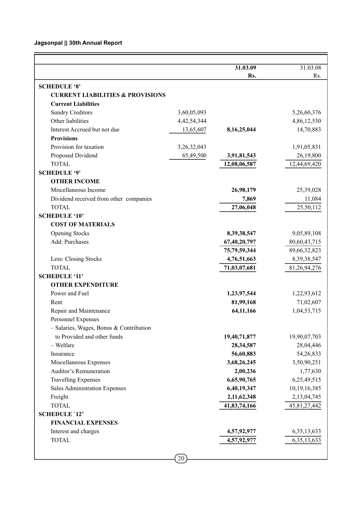|                                                                        |                | 31.03.09<br>Rs.    | 31.03.08<br>Rs.     |
|------------------------------------------------------------------------|----------------|--------------------|---------------------|
| <b>SCHEDULE '8'</b>                                                    |                |                    |                     |
| <b>CURRENT LIABILITIES &amp; PROVISIONS</b>                            |                |                    |                     |
| <b>Current Liabilities</b>                                             |                |                    |                     |
| <b>Sundry Creditors</b>                                                | 3,60,05,093    |                    | 5,26,60,376         |
| Other liabilities                                                      | 4, 42, 54, 344 |                    | 4,86,12,530         |
| Interest Accrued but not due                                           | 13,65,607      | 8,16,25,044        | 14,70,883           |
| <b>Provisions</b>                                                      |                |                    |                     |
| Provision for taxation                                                 | 3,26,32,043    |                    | 1,91,05,831         |
| Proposed Dividend                                                      | 65,49,500      | 3,91,81,543        | 26,19,800           |
| <b>TOTAL</b>                                                           |                | 12,08,06,587       | 12,44,69,420        |
| <b>SCHEDULE '9'</b>                                                    |                |                    |                     |
| <b>OTHER INCOME</b>                                                    |                |                    |                     |
| Miscellaneous Income                                                   |                |                    |                     |
|                                                                        |                | 26,98,179<br>7,869 | 25,39,028           |
| Dividend received from other companies<br><b>TOTAL</b>                 |                | 27,06,048          | 11,084<br>25,50,112 |
| <b>SCHEDULE '10'</b>                                                   |                |                    |                     |
|                                                                        |                |                    |                     |
| <b>COST OF MATERIALS</b>                                               |                |                    |                     |
| <b>Opening Stocks</b><br>Add: Purchases                                |                | 8,39,38,547        | 9,05,89,108         |
|                                                                        |                | 67,40,20,797       | 80,60,43,715        |
|                                                                        |                | 75,79,59,344       | 89,66,32,823        |
| Less: Closing Stocks<br><b>TOTAL</b>                                   |                | 4,76,51,663        | 8,39,38,547         |
| <b>SCHEDULE '11'</b>                                                   |                | 71,03,07,681       | 81,26,94,276        |
| <b>OTHER EXPENDITURE</b>                                               |                |                    |                     |
| Power and Fuel                                                         |                | 1,23,97,544        | 1,22,93,612         |
| Rent                                                                   |                | 81,99,168          | 71,02,607           |
| Repair and Maintenance                                                 |                | 64,11,166          | 1,04,53,715         |
| Personnel Expenses                                                     |                |                    |                     |
|                                                                        |                |                    |                     |
| - Salaries, Wages, Bonus & Contribution<br>to Provided and other funds |                |                    |                     |
| - Welfare                                                              |                | 19,40,71,877       | 19,90,07,703        |
|                                                                        |                | 28, 34, 587        | 28,04,446           |
| Insurance                                                              |                | 56,60,883          | 54,26,833           |
| Miscellaneous Expenses<br><b>Auditor's Remuneration</b>                |                | 3,68,26,245        | 3,50,90,251         |
|                                                                        |                | 2,00,236           | 1,77,630            |
| <b>Travelling Expenses</b>                                             |                | 6,65,90,765        | 6,25,49,515         |
| Sales Administration Expenses                                          |                | 6,40,19,347        | 10,19,16,385        |
| Freight                                                                |                | 2,11,62,348        | 2,13,04,745         |
| <b>TOTAL</b>                                                           |                | 41,83,74,166       | 45,81,27,442        |
| <b>SCHEDULE '12'</b>                                                   |                |                    |                     |
| <b>FINANCIAL EXPENSES</b>                                              |                |                    |                     |
| Interest and charges                                                   |                | 4,57,92,977        | 6, 35, 13, 633      |
| <b>TOTAL</b>                                                           |                | 4,57,92,977        | 6, 35, 13, 633      |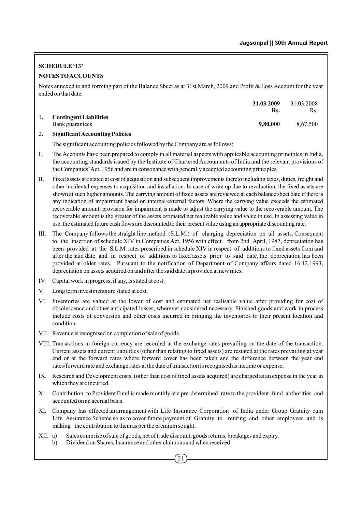# **SCHEDULE '13' NOTES TO ACCOUNTS**

Notes annexed to and forming part of the Balance Sheet as at 31st March, 2009 and Profit & Loss Account for the year ended on that date.

|                               | 31.03.2009 | 31.03.2008 |
|-------------------------------|------------|------------|
|                               | Rs.        | Rs.        |
| <b>Contingent Liabilities</b> |            |            |
| Bank guarantees               | 9,80,000   | 8.67.500   |
| ----<br>$-1$                  |            |            |

## 2**. Significant Accounting Policies**

The significant accounting policies followed by the Company are as follows:

- I. The Accounts have been prepared to comply in all material aspects with applicable accounting principles in India, the accounting standards issued by the Institute of Chartered Accountants of India and the relevant provisions of the Companies'Act, 1956 and are in consonance with generally accepted accounting principles.
- II. Fixed assets are stated at cost of acquisition and subsequent improvements thereto including taxes, duties, freight and other incidental expenses to acquisition and installation. In case of write up due to revaluation, the fixed assets are shown at such higher amounts. The carrying amount of fixed assets are reviewed at each balance sheet date if there is any indication of impairment based on internal/external factors. Where the carrying value exceeds the estimated recoverable amount, provision for impairment is made to adjust the carrying value to the recoverable amount. The recoverable amount is the greater of the assets estimated net realizable value and value in use. In assessing value in use, the estimated future cash flows are discounted to their present value using an appropriate discounting rate.
- III. The Company follows the straight line method (S.L.M.) of charging depreciation on all assets. Consequent to the insertion of schedule XIV in Companies Act, 1956 with effect from 2nd April, 1987, depreciation has been provided at the S.L.M. rates prescribed in schedule XIV in respect of additions to fixed assets from and after the said date and in respect of additions to fixed assets prior to said date, the depreciation has been provided at older rates. Pursuant to the notification of Department of Company affairs dated 16.12.1993, depreciation on assets acquired on and after the said date is provided at new rates.
- IV. Capital work in progress, if any, is stated at cost.
- V. Long term investments are stated at cost.
- VI. Inventories are valued at the lower of cost and estimated net realisable value after providing for cost of obsolescence and other anticipated losses, wherever considered necessary. Finished goods and work in process include costs of conversion and other costs incurred in bringing the inventories to their present location and condition.
- VII. Revenue is recognised on completion of sale of goods.
- VIII. Transactions in foreign currency are recorded at the exchange rates prevailing on the date of the transaction. Current assets and current liabilities (other than relating to fixed assets) are restated at the rates prevailing at year end or at the forward rates where forward cover has been taken and the difference between the year end rates/forward rate and exchange rates at the date of transaction is recognised as income or expense.
- IX. Research and Development costs, (other than cost of fixed assets acquired) are charged as an expense in the year in which they are incurred.
- X. Contribution to Provident Fund is made monthly at a pre-determined rate to the provident fund authorities and accounted on an accrual basis.
- XI. Company has affected an arrangement with Life Insurance Corporation of India under Group Gratuity cum Life Assurance Scheme so as to cover future payment of Gratuity to retiring and other employees and is making the contribution to them as per the premium sought.
- XII. a) Sales comprise of sale of goods, net of trade discount, goods returns, breakages and expiry.
	- b) Dividend on Shares, Insurance and other claims as and when received.
		- 21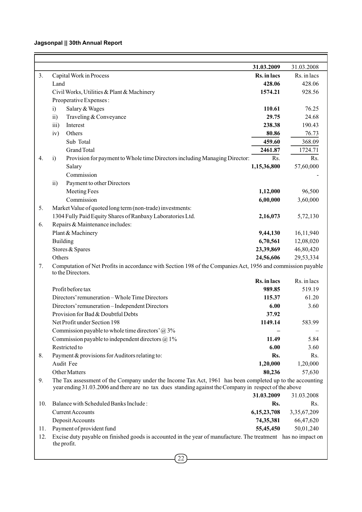|     |                                                                                                                                  | 31.03.2009  | 31.03.2008  |
|-----|----------------------------------------------------------------------------------------------------------------------------------|-------------|-------------|
| 3.  | Capital Work in Process                                                                                                          | Rs. in lacs | Rs. in lacs |
|     | Land                                                                                                                             | 428.06      | 428.06      |
|     | Civil Works, Utilities & Plant & Machinery                                                                                       | 1574.21     | 928.56      |
|     | Preoperative Expenses:                                                                                                           |             |             |
|     | Salary & Wages<br>i)                                                                                                             | 110.61      | 76.25       |
|     | Traveling & Conveyance<br>$\overline{11}$                                                                                        | 29.75       | 24.68       |
|     | iii)<br>Interest                                                                                                                 | 238.38      | 190.43      |
|     | iv)<br>Others                                                                                                                    | 80.86       | 76.73       |
|     | Sub Total                                                                                                                        | 459.60      | 368.09      |
|     | <b>Grand Total</b>                                                                                                               | 2461.87     | 1724.71     |
| 4.  | i)<br>Provision for payment to Whole time Directors including Managing Director:                                                 | Rs.         | Rs.         |
|     | Salary                                                                                                                           | 1,15,36,800 | 57,60,000   |
|     | Commission                                                                                                                       |             |             |
|     | Payment to other Directors<br>$\overline{11}$                                                                                    |             |             |
|     | Meeting Fees                                                                                                                     | 1,12,000    | 96,500      |
|     | Commission                                                                                                                       | 6,00,000    | 3,60,000    |
| 5.  | Market Value of quoted long term (non-trade) investments:                                                                        |             |             |
|     | 1304 Fully Paid Equity Shares of Ranbaxy Laboratories Ltd.                                                                       | 2,16,073    | 5,72,130    |
| 6.  | Repairs & Maintenance includes:                                                                                                  |             |             |
|     | Plant & Machinery                                                                                                                | 9,44,130    | 16,11,940   |
|     | Building                                                                                                                         | 6,70,561    | 12,08,020   |
|     | Stores & Spares                                                                                                                  | 23,39,869   | 46,80,420   |
|     | Others                                                                                                                           | 24,56,606   | 29,53,334   |
| 7.  | Computation of Net Profits in accordance with Section 198 of the Companies Act, 1956 and commission payable<br>to the Directors. |             |             |
|     |                                                                                                                                  | Rs. in lacs | Rs. in lacs |
|     | Profit before tax                                                                                                                | 989.85      | 519.19      |
|     | Directors' remuneration - Whole Time Directors                                                                                   | 115.37      | 61.20       |
|     | Directors' remuneration - Independent Directors                                                                                  | 6.00        | 3.60        |
|     | Provision for Bad & Doubtful Debts                                                                                               | 37.92       |             |
|     | Net Profit under Section 198                                                                                                     | 1149.14     | 583.99      |
|     | Commission payable to whole time directors' $@3\%$                                                                               |             |             |
|     | Commission payable to independent directors @ 1%                                                                                 | 11.49       | 5.84        |
|     | Restricted to                                                                                                                    | 6.00        | 3.60        |
| 8.  | Payment & provisions for Auditors relating to:                                                                                   | Rs.         | Rs.         |
|     | Audit Fee                                                                                                                        | 1,20,000    | 1,20,000    |
|     | Other Matters                                                                                                                    | 80,236      | 57,630      |
| 9.  | The Tax assessment of the Company under the Income Tax Act, 1961 has been completed up to the accounting                         |             |             |
|     | year ending 31.03.2006 and there are no tax dues standing against the Company in respect of the above                            |             |             |
|     |                                                                                                                                  | 31.03.2009  | 31.03.2008  |
| 10. | Balance with Scheduled Banks Include:                                                                                            | Rs.         | Rs.         |
|     | Current Accounts                                                                                                                 | 6,15,23,708 | 3,35,67,209 |
|     | Deposit Accounts                                                                                                                 | 74,35,381   | 66,47,620   |
| 11. | Payment of provident fund                                                                                                        | 55,45,450   | 50,01,240   |
| 12. | Excise duty payable on finished goods is accounted in the year of manufacture. The treatment has no impact on                    |             |             |
|     | the profit.                                                                                                                      |             |             |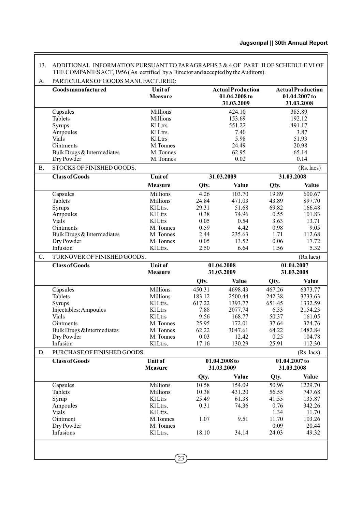|                 | Goods manufactured                      | <b>Unit of</b><br><b>Measure</b> |                | <b>Actual Production</b><br>01.04.2008 to<br>31.03.2009 |                | <b>Actual Production</b><br>01.04.2007 to<br>31.03.2008 |
|-----------------|-----------------------------------------|----------------------------------|----------------|---------------------------------------------------------|----------------|---------------------------------------------------------|
|                 | Capsules                                | Millions                         |                | 424.10                                                  |                | 385.89                                                  |
|                 | Tablets                                 | Millions                         |                | 153.69                                                  |                | 192.12                                                  |
|                 | Syrups                                  | KlLtrs.                          |                | 551.22                                                  |                | 491.17                                                  |
|                 | Ampoules                                | KlLtrs.                          |                | 7.40                                                    |                | 3.87                                                    |
|                 | Vials                                   | KlLtrs                           |                | 5.98                                                    |                | 51.93                                                   |
|                 | Ointments<br>Bulk Drugs & Intermediates | M.Tonnes<br>M. Tonnes            |                | 24.49<br>62.95                                          |                | 20.98<br>65.14                                          |
|                 | Dry Powder                              | M. Tonnes                        |                | 0.02                                                    |                | 0.14                                                    |
| <b>B.</b>       | STOCKS OF FINISHED GOODS.               |                                  |                |                                                         |                | (Rs. lacs)                                              |
|                 | <b>Class of Goods</b>                   | <b>Unit of</b>                   |                | 31.03.2009                                              |                | 31.03.2008                                              |
|                 |                                         |                                  |                |                                                         |                |                                                         |
|                 |                                         | <b>Measure</b>                   | Qty.           | Value                                                   | Qty.           | <b>Value</b>                                            |
|                 | Capsules                                | Millions                         | 4.26           | 103.70                                                  | 19.89          | 600.67                                                  |
|                 | Tablets                                 | Millions<br>K1 Ltrs.             | 24.84<br>29.31 | 471.03<br>51.68                                         | 43.89<br>69.82 | 897.70<br>166.48                                        |
|                 | Syrups<br>Ampoules                      | KlLtrs                           | 0.38           | 74.96                                                   | 0.55           | 101.83                                                  |
|                 | <b>Vials</b>                            | KlLtrs                           | 0.05           | 0.54                                                    | 3.63           | 13.71                                                   |
|                 | Ointments                               | M. Tonnes                        | 0.59           | 4.42                                                    | 0.98           | 9.05                                                    |
|                 | Bulk Drugs & Intermediates              | M. Tonnes                        | 2.44           | 235.63                                                  | 1.71           | 112.68                                                  |
|                 | Dry Powder                              | M. Tonnes                        | 0.05           | 13.52                                                   | 0.06           | 17.72                                                   |
|                 | Infusion                                | KlLtrs.                          | 2.50           | 6.64                                                    | 1.56           | 5.32                                                    |
| $\mathcal{C}$ . | TURNOVER OF FINISHED GOODS.             |                                  |                |                                                         |                | (Rs.lacs)                                               |
|                 | <b>Class of Goods</b>                   | <b>Unit of</b><br><b>Measure</b> |                | 01.04.2008<br>31.03.2009                                |                | 01.04.2007<br>31.03.2008                                |
|                 |                                         |                                  | Qty.           | <b>Value</b>                                            | Qty.           | <b>Value</b>                                            |
|                 | Capsules                                | Millions                         | 450.31         | 4698.43                                                 | 467.26         | 6373.77                                                 |
|                 | Tablets                                 | Millions                         | 183.12         | 2500.44                                                 | 242.38         | 3733.63                                                 |
|                 | Syrups                                  | KlLtrs.                          | 617.22         | 1393.77                                                 | 651.45         | 1332.59                                                 |
|                 | Injectables: Ampoules                   | KlLtrs                           | 7.88           | 2077.74                                                 | 6.33           | 2154.23                                                 |
|                 | Vials                                   | KlLtrs                           | 9.56           | 168.77                                                  | 50.37          | 161.05                                                  |
|                 | Ointments                               | M. Tonnes                        | 25.95          | 172.01                                                  | 37.64          | 324.76                                                  |
|                 | Bulk Drugs & Intermediates              | M. Tonnes                        | 62.22          | 3047.61                                                 | 64.22          | 1482.84                                                 |
|                 | Dry Powder                              | M. Tonnes                        | 0.03           | 12.42                                                   | 0.25           | 104.78                                                  |
|                 | Infusion                                | KlLtrs.                          | 17.16          | 130.29                                                  | 25.91          | 112.30                                                  |
| D.              | PURCHASE OF FINISHED GOODS              |                                  |                |                                                         |                | (Rs. lacs)                                              |
|                 | <b>Class of Goods</b>                   | <b>Unit of</b><br><b>Measure</b> |                | 01.04.2008 to<br>31.03.2009                             |                | 01.04.2007 to<br>31.03.2008                             |
|                 |                                         |                                  | Qty.           | Value                                                   | Qty.           | Value                                                   |
|                 | Capsules                                | Millions                         | 10.58          | 154.09                                                  | 50.96          | 1229.70                                                 |
|                 | Tablets                                 | Millions                         | 10.38          | 431.20                                                  | 56.55          | 747.68                                                  |
|                 | Syrup                                   | KlLtrs                           | 25.49          | 61.38                                                   | 41.55          | 135.87                                                  |
|                 | Ampoules                                | K1Ltrs.                          | 0.31           | 74.36                                                   | 0.76           | 342.26                                                  |
|                 | Vials                                   | KlLtrs.                          |                |                                                         | 1.34           | 11.70                                                   |
|                 | Ointment                                | M.Tonnes                         | 1.07           | 9.51                                                    | 11.70          | 103.26                                                  |
|                 | Dry Powder<br>Infusions                 | M. Tonnes<br>KlLtrs.             | 18.10          | 34.14                                                   | 0.09<br>24.03  | 20.44<br>49.32                                          |

Ē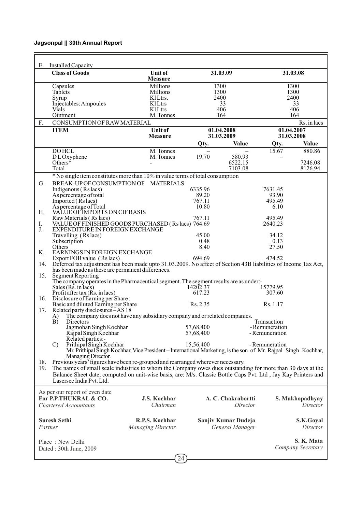| Е.      | Installed Capacity                                                                                             |                                  |           |                          |                          |                   |
|---------|----------------------------------------------------------------------------------------------------------------|----------------------------------|-----------|--------------------------|--------------------------|-------------------|
|         | <b>Class of Goods</b>                                                                                          | <b>Unit of</b><br><b>Measure</b> |           | 31.03.09                 |                          | 31.03.08          |
|         | Capsules                                                                                                       | Millions                         |           | 1300                     |                          | 1300              |
|         | Tablets                                                                                                        | Millions                         |           | 1300                     |                          | 1300              |
|         | Syrup                                                                                                          | K1Ltrs.                          |           | 2400                     |                          | 2400              |
|         | Injectables: Ampoules                                                                                          | KlLtrs                           |           | 33                       |                          | 33                |
|         | Vials                                                                                                          | <b>Kl</b> Ltrs                   |           | 406                      |                          | 406               |
|         | Ointment                                                                                                       | M. Tonnes                        |           | 164                      |                          | 164               |
| F.      | CONSUMPTION OF RAW MATERIAL                                                                                    |                                  |           |                          |                          | Rs. in lacs       |
|         | <b>ITEM</b>                                                                                                    | <b>Unit of</b><br><b>Measure</b> |           | 01.04.2008<br>31.03.2009 | 01.04.2007<br>31.03.2008 |                   |
|         |                                                                                                                |                                  | Qty.      | Value                    | Qty.                     | Value             |
|         | <b>DOHCL</b>                                                                                                   | M. Tonnes                        |           |                          | 15.67                    | 880.86            |
|         | DLOxyphene                                                                                                     | M. Tonnes                        | 19.70     | 580.93                   |                          |                   |
|         | Others $*$                                                                                                     |                                  |           | 6522.15                  |                          | 7246.08           |
|         | Total                                                                                                          |                                  |           | 7103.08                  |                          | 8126.94           |
|         | * No single item constitutes more than 10% in value terms of total consumption                                 |                                  |           |                          |                          |                   |
| G.      | BREAK-UP OF CONSUMPTION OF MATERIALS                                                                           |                                  |           |                          |                          |                   |
|         | Indigenous (Rs lacs)                                                                                           |                                  | 6335.96   |                          | 7631.45                  |                   |
|         | As percentage of total                                                                                         |                                  | 89.20     |                          | 93.90                    |                   |
|         | Imported $(Rs$ lacs)                                                                                           |                                  | 767.11    |                          | 495.49                   |                   |
|         | As percentage of Total                                                                                         |                                  | 10.80     |                          | 6.10                     |                   |
| Н.      | VALUE OF IMPORTS ON CIF BASIS                                                                                  |                                  |           |                          |                          |                   |
|         | Raw Materials (Rs lacs) 767.11<br>VALUE OF FINISHED GOODS PURCHASED (Rs lacs) 764.69                           |                                  |           |                          | 495.49                   |                   |
| Ι.      |                                                                                                                |                                  |           |                          | 2640.23                  |                   |
| J.      | EXPENDITURE IN FOREIGN EXCHANGE                                                                                |                                  |           |                          |                          |                   |
|         | Travelling (Rs lacs)                                                                                           |                                  | 45.00     |                          | 34.12                    |                   |
|         | Subscription                                                                                                   |                                  | 0.48      |                          | 0.13                     |                   |
| Κ.      | Others<br>EARNINGS IN FOREIGN EXCHANGE                                                                         |                                  | 8.40      |                          | 27.50                    |                   |
|         | Export FOB value (Rs lacs)                                                                                     |                                  | 694.69    |                          | 474.52                   |                   |
| 14.     | Deferred tax adjustment has been made upto 31.03.2009. No affect of Section 43B liabilities of Income Tax Act, |                                  |           |                          |                          |                   |
|         | has been made as these are permanent differences.                                                              |                                  |           |                          |                          |                   |
| 15.     | <b>Segment Reporting</b>                                                                                       |                                  |           |                          |                          |                   |
|         | The company operates in the Pharmaceutical segment. The segment results are as under:-                         |                                  |           |                          |                          |                   |
|         | Sales $(Rs. in lacs)$                                                                                          |                                  | 14202.37  |                          | 15779.95                 |                   |
|         | Profit after tax $(Ks.$ in lacs)                                                                               |                                  | 617.23    |                          | 307.60                   |                   |
| 16.     | Disclosure of Earning per Share:                                                                               |                                  |           |                          |                          |                   |
|         | Basic and diluted Earning per Share                                                                            |                                  | Rs. 2.35  |                          | Rs. 1.17                 |                   |
| 17.     | Related party disclosures - AS 18                                                                              |                                  |           |                          |                          |                   |
|         | The company does not have any subsidiary company and or related companies.<br>A)<br>B)<br>Directors            |                                  |           |                          | Transaction              |                   |
|         | Jagmohan Singh Kochhar 57,68,400                                                                               |                                  |           |                          | - Remuneration           |                   |
|         | Rajpal Singh Kochhar                                                                                           |                                  | 57,68,400 |                          | - Remuneration           |                   |
|         | Related parties:-                                                                                              |                                  |           |                          |                          |                   |
|         | Prithipal Singh Kochhar<br>$\mathcal{C}$                                                                       |                                  | 15,56,400 |                          | - Remuneration           |                   |
|         | Mr. Prithipal Singh Kochhar, Vice President – International Marketing, is the son of Mr. Rajpal Singh Kochhar, |                                  |           |                          |                          |                   |
|         | Managing Director.                                                                                             |                                  |           |                          |                          |                   |
| 18.     | Previous years' figures have been re-grouped and rearranged wherever necessary.                                |                                  |           |                          |                          |                   |
| 19.     | The names of small scale industries to whom the Company owes dues outstanding for more than 30 days at the     |                                  |           |                          |                          |                   |
|         | Balance Sheet date, computed on unit-wise basis, are: M/s. Classic Bottle Caps Pvt. Ltd, Jay Kay Printers and  |                                  |           |                          |                          |                   |
|         | Lasersec India Pvt. Ltd.                                                                                       |                                  |           |                          |                          |                   |
|         |                                                                                                                |                                  |           |                          |                          |                   |
|         | As per our report of even date                                                                                 |                                  |           |                          |                          |                   |
|         | For P.P.THUKRAL & CO.                                                                                          | J.S. Kochhar                     |           | A. C. Chakrabortti       |                          | S. Mukhopadhyay   |
|         | <b>Chartered Accountants</b>                                                                                   | Chairman                         |           | Director                 |                          | Director          |
|         |                                                                                                                |                                  |           |                          |                          |                   |
|         | <b>Suresh Sethi</b>                                                                                            | R.P.S. Kochhar                   |           | Sanjiv Kumar Dudeja      |                          | S.K.Goyal         |
| Partner |                                                                                                                | <b>Managing Director</b>         |           | General Manager          |                          | Director          |
|         |                                                                                                                |                                  |           |                          |                          |                   |
|         |                                                                                                                |                                  |           |                          |                          |                   |
|         | Place: New Delhi                                                                                               |                                  |           |                          |                          | S. K. Mata        |
|         | Dated: 30th June, 2009                                                                                         |                                  |           |                          |                          | Company Secretary |
|         |                                                                                                                | 24                               |           |                          |                          |                   |
|         |                                                                                                                |                                  |           |                          |                          |                   |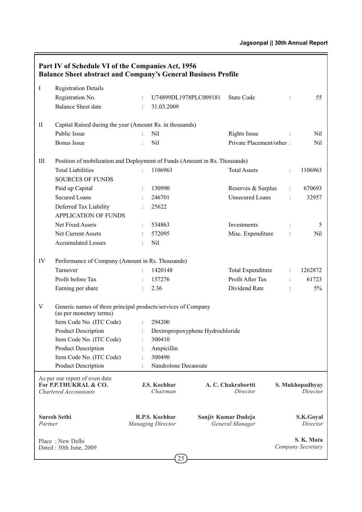|             | Part IV of Schedule VI of the Companies Act, 1956<br><b>Balance Sheet abstract and Company's General Business Profile</b> |                           |                                            |                                  |                                        |                |                                 |
|-------------|---------------------------------------------------------------------------------------------------------------------------|---------------------------|--------------------------------------------|----------------------------------|----------------------------------------|----------------|---------------------------------|
| Ι           | <b>Registration Details</b>                                                                                               |                           |                                            |                                  |                                        |                |                                 |
|             | Registration No.                                                                                                          | $\ddot{\phantom{a}}$      | U74899DL1978PLC009181                      |                                  | <b>State Code</b>                      | $\ddot{\cdot}$ | 55                              |
|             | <b>Balance Sheet date</b>                                                                                                 | $\ddot{\cdot}$            | 31.03.2009                                 |                                  |                                        |                |                                 |
|             |                                                                                                                           |                           |                                            |                                  |                                        |                |                                 |
| $_{\rm II}$ | Capital Raised during the year (Amount Rs. in thousands)                                                                  |                           |                                            |                                  |                                        |                |                                 |
|             | Public Issue                                                                                                              | $\ddot{\phantom{0}}$      | Nil                                        |                                  | Rights Issue                           |                | Nil                             |
|             | <b>Bonus</b> Issue                                                                                                        |                           | Nil                                        |                                  | Private Placement/other:               |                | Nil                             |
|             |                                                                                                                           |                           |                                            |                                  |                                        |                |                                 |
| Ш           | Position of mobilization and Deployment of Funds (Amount in Rs. Thousands)                                                |                           |                                            |                                  |                                        |                |                                 |
|             | <b>Total Liabilities</b>                                                                                                  | $\ddot{\cdot}$            | 1106963                                    |                                  | <b>Total Assets</b>                    | $\ddot{\cdot}$ | 1106963                         |
|             | <b>SOURCES OF FUNDS</b>                                                                                                   |                           |                                            |                                  |                                        |                |                                 |
|             | Paid up Capital                                                                                                           | $\ddot{\cdot}$            | 130990                                     |                                  | Reserves & Surplus                     | $\ddot{\cdot}$ | 670693                          |
|             | <b>Secured Loans</b>                                                                                                      |                           | 246701                                     |                                  | <b>Unsecured Loans</b>                 | $\ddot{\cdot}$ | 32957                           |
|             | Deferred Tax Liability                                                                                                    |                           | 25622                                      |                                  |                                        |                |                                 |
|             | <b>APPLICATION OF FUNDS</b>                                                                                               |                           |                                            |                                  |                                        |                |                                 |
|             | Net Fixed Assets                                                                                                          | $\ddot{\phantom{a}}$      | 534863                                     |                                  | Investments                            | $\ddot{\cdot}$ | 5                               |
|             | Net Current Assets                                                                                                        |                           | 572095                                     |                                  | Misc. Expenditure                      |                | Nil                             |
|             | <b>Accumulated Losses</b>                                                                                                 | $\mathbb{R}^{\mathbb{Z}}$ | Nil                                        |                                  |                                        |                |                                 |
|             |                                                                                                                           |                           |                                            |                                  |                                        |                |                                 |
| IV          | Performance of Company (Amount in Rs. Thousands)                                                                          |                           |                                            |                                  |                                        |                |                                 |
|             | Turnover                                                                                                                  | $\ddot{\phantom{a}}$      | 1420148                                    |                                  | <b>Total Expenditure</b>               | $\ddot{\cdot}$ | 1262872                         |
|             | Profit before Tax                                                                                                         | $\ddot{\phantom{a}}$      | 157276                                     |                                  | Profit After Tax                       | $\ddot{\cdot}$ | 61723                           |
|             | Earning per share                                                                                                         |                           | 2.36                                       |                                  | Dividend Rate                          | $\ddot{\cdot}$ | 5%                              |
| V           | Generic names of three principal products/services of Company<br>(as per monetary terms)                                  |                           |                                            |                                  |                                        |                |                                 |
|             | Item Code No. (ITC Code)                                                                                                  | $\ddot{\cdot}$            | 294200                                     |                                  |                                        |                |                                 |
|             | <b>Product Description</b>                                                                                                |                           |                                            | Dextropropoxyphene Hydrochloride |                                        |                |                                 |
|             | Item Code No. (ITC Code)                                                                                                  |                           | 300410                                     |                                  |                                        |                |                                 |
|             | <b>Product Description</b>                                                                                                |                           | Ampicillin                                 |                                  |                                        |                |                                 |
|             | Item Code No. (ITC Code)                                                                                                  | $\ddot{\cdot}$            | 300490                                     |                                  |                                        |                |                                 |
|             | <b>Product Description</b>                                                                                                |                           | Nandrolone Decanoate                       |                                  |                                        |                |                                 |
|             | As per our report of even date<br>For P.P.THUKRAL & CO.<br><b>Chartered Accountants</b>                                   |                           | J.S. Kochhar<br>Chairman                   |                                  | A. C. Chakrabortti<br>Director         |                | S. Mukhopadhyay<br>Director     |
| Partner     | <b>Suresh Sethi</b>                                                                                                       |                           | R.P.S. Kochhar<br><b>Managing Director</b> |                                  | Sanjiv Kumar Dudeja<br>General Manager |                | S.K.Goyal<br>Director           |
|             | Place: New Delhi<br>Dated: 30th June, 2009                                                                                |                           | $\bigcap_{\sigma\in\mathcal{C}}$           |                                  |                                        |                | S. K. Mata<br>Company Secretary |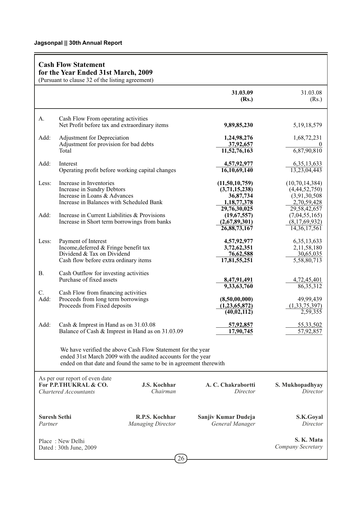|            | <b>Cash Flow Statement</b><br>for the Year Ended 31st March, 2009<br>(Pursuant to clause 32 of the listing agreement)               |                                                                                                                                                                                                   |                                                                |                                                                    |
|------------|-------------------------------------------------------------------------------------------------------------------------------------|---------------------------------------------------------------------------------------------------------------------------------------------------------------------------------------------------|----------------------------------------------------------------|--------------------------------------------------------------------|
|            |                                                                                                                                     |                                                                                                                                                                                                   | 31.03.09<br>(Rs.)                                              | 31.03.08<br>(Rs.)                                                  |
| А.         | Cash Flow From operating activities<br>Net Profit before tax and extraordinary items                                                |                                                                                                                                                                                                   | 9,89,85,230                                                    | 5, 19, 18, 579                                                     |
| Add:       | Adjustment for Depreciation<br>Adjustment for provision for bad debts<br>Total                                                      |                                                                                                                                                                                                   | 1,24,98,276<br>37,92,657<br>11,52,76,163                       | 1,68,72,231<br>6,87,90,810                                         |
| Add:       | Interest<br>Operating profit before working capital changes                                                                         |                                                                                                                                                                                                   | 4,57,92,977<br>16,10,69,140                                    | 6, 35, 13, 633<br>13,23,04,443                                     |
| Less:      | Increase in Inventories<br>Increase in Sundry Debtors<br>Increase in Loans & Advances<br>Increase in Balances with Scheduled Bank   |                                                                                                                                                                                                   | (11, 50, 10, 759)<br>(3,71,15,238)<br>36,87,734<br>1,18,77,378 | (10, 70, 14, 384)<br>(4,44,52,750)<br>(3,91,30,508)<br>2,70,59,428 |
| Add:       | Increase in Current Liabilities & Provisions<br>Increase in Short term borrowings from banks                                        |                                                                                                                                                                                                   | 29,76,30,025<br>(19,67,557)<br>(2,67,89,301)<br>26,88,73,167   | 29,58,42,657<br>(7,04,55,165)<br>(8,17,69,932)<br>14, 36, 17, 561  |
| Less:      | Payment of Interest<br>Income, deferred & Fringe benefit tax<br>Dividend & Tax on Dividend<br>Cash flow before extra ordinary items |                                                                                                                                                                                                   | 4,57,92,977<br>3,72,62,351<br>76,62,588<br>17,81,55,251        | 6, 35, 13, 633<br>2,11,58,180<br>30,65,035<br>5,58,80,713          |
| В.         | Cash Outflow for investing activities<br>Purchase of fixed assets                                                                   |                                                                                                                                                                                                   | 8,47,91,491<br>9,33,63,760                                     | 4,72,45,401<br>86,35,312                                           |
| C.<br>Add: | Cash Flow from financing activities<br>Proceeds from long term borrowings<br>Proceeds from Fixed deposits                           |                                                                                                                                                                                                   | (8,50,00,000)<br>(1, 23, 65, 872)<br>(40, 02, 112)             | 49,99,439<br>(1,33,75,397)<br>2,59,355                             |
| Add:       | Cash & Imprest in Hand as on 31.03.08                                                                                               | Balance of Cash & Imprest in Hand as on 31.03.09                                                                                                                                                  | 57,92,857<br>17,90,745                                         | 55,33,502<br>57,92,857                                             |
|            |                                                                                                                                     | We have verified the above Cash Flow Statement for the year<br>ended 31st March 2009 with the audited accounts for the year<br>ended on that date and found the same to be in agreement therewith |                                                                |                                                                    |
|            | As per our report of even date<br>For P.P.THUKRAL & CO.<br><b>Chartered Accountants</b>                                             | <b>J.S. Kochhar</b><br>Chairman                                                                                                                                                                   | A. C. Chakrabortti<br>Director                                 | S. Mukhopadhyay<br>Director                                        |
| Partner    | <b>Suresh Sethi</b>                                                                                                                 | R.P.S. Kochhar<br><b>Managing Director</b>                                                                                                                                                        | Sanjiv Kumar Dudeja<br>General Manager                         | S.K.Goyal<br>Director                                              |
|            | Place: New Delhi<br>Dated: 30th June, 2009                                                                                          | 26                                                                                                                                                                                                |                                                                | S. K. Mata<br>Company Secretary                                    |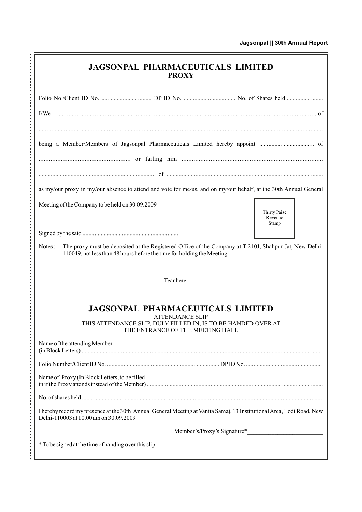| <b>JAGSONPAL PHARMACEUTICALS LIMITED</b><br><b>PROXY</b>                                                                                                                                    |
|---------------------------------------------------------------------------------------------------------------------------------------------------------------------------------------------|
|                                                                                                                                                                                             |
|                                                                                                                                                                                             |
|                                                                                                                                                                                             |
|                                                                                                                                                                                             |
| as my/our proxy in my/our absence to attend and vote for me/us, and on my/our behalf, at the 30th Annual General                                                                            |
| Meeting of the Company to be held on 30.09.2009<br>Thirty Paise<br>Revenue<br>Stamp                                                                                                         |
|                                                                                                                                                                                             |
| The proxy must be deposited at the Registered Office of the Company at T-210J, Shahpur Jat, New Delhi-<br>Notes:<br>110049, not less than 48 hours before the time for holding the Meeting. |
|                                                                                                                                                                                             |
| <b>JAGSONPAL PHARMACEUTICALS LIMITED</b>                                                                                                                                                    |
| <b>ATTENDANCE SLIP</b><br>THIS ATTENDANCE SLIP, DULY FILLED IN, IS TO BE HANDED OVER AT<br>THE ENTRANCE OF THE MEETING HALL                                                                 |
| Name of the attending Member                                                                                                                                                                |
|                                                                                                                                                                                             |
| Name of Proxy (In Block Letters, to be filled                                                                                                                                               |
|                                                                                                                                                                                             |
| I hereby record my presence at the 30th Annual General Meeting at Vanita Samaj, 13 Institutional Area, Lodi Road, New<br>Delhi-110003 at 10.00 am on 30.09.2009                             |
|                                                                                                                                                                                             |
| * To be signed at the time of handing over this slip.                                                                                                                                       |

J.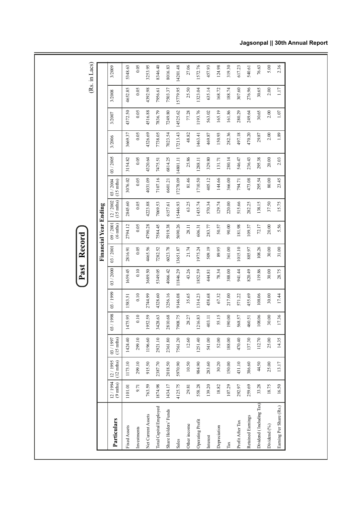|                          |                         |                                |                                |         |           | Past      | Record   |                               |                          |                                  |          |          |          |          | (Rs. in Lacs) |
|--------------------------|-------------------------|--------------------------------|--------------------------------|---------|-----------|-----------|----------|-------------------------------|--------------------------|----------------------------------|----------|----------|----------|----------|---------------|
|                          |                         |                                |                                |         |           |           |          | Financial Year Ending         |                          |                                  |          |          |          |          |               |
| Particulars              | $12 / 1994$<br>(9 mths) | $(12 \text{ mths})$<br>12/1995 | $(15 \text{ mths})$<br>03/1997 | 03/1998 | 03 / 1999 | 03 / 2000 | 03/2001  | 09/2001<br>$(6 \text{ mths})$ | $12 / 2002$<br>(15 mths) | 03 / 2004<br>$(15 \text{ mths})$ | 03/2005  | 3/2006   | 3/2007   | 3/2008   | 3/2009        |
| Fixed Assets             | 1101.01                 | 1173.10                        | 1424.40                        | 1475.95 | 1583.51   | 1659.45   | 2816.91  | 2794.12                       | 2845.60                  | 3076.02                          | 3154.82  | 3669.37  | 4372.50  | 4652.85  | 5348.63       |
| Investments              | 9.71                    | 299.10                         | 299.10                         | 0.10    | 0.10      | 0.10      | 0.05     | 0.05                          | 0.05                     | 0.05                             | 0.05     | 0.05     | 0.05     | 0.05     | 0.05          |
| Net Current Assets       | 763.59                  | 915.50                         | 1196.60                        | 1952.59 | 2744.99   | 3689.50   | 4465.56  | 4790.28                       | 4223.88                  | 4031.09                          | 4320.64  | 4326.69  | 4516.88  | 4392.98  | 3253.95       |
| Total Capital Employed   | 1874.98                 | 2387.70                        | 2921.10                        | 3428.63 | 4328.60   | 5349.05   | 7282.52  | 7584.45                       | 7069.53                  | 7107.16                          | 7475.51  | 7738.05  | 7836.79  | 7956.61  | 8346.40       |
| Share Holders' Funds     | 1434.17                 | 2018.50                        | 2361.80                        | 2810.68 | 3256.16   | 4066.42   | 6023.78  | 5919.38                       | 6157.61                  | 6601.21                          | 6814.25  | 7023.54  | 7249.80  | 7503.37  | 8016.83       |
| Sales                    | 4125.75                 | 5970.90                        | 7561.20                        | 7908.75 | 9146.08   | 11846.29  | 13651.87 | 5690.26                       | 15446.93                 | 17278.09                         | 14801.11 | 17213.43 | 14525.62 | 15779.95 | 14201.48      |
| Other income             | 29.81                   | 10.50                          | 12.60                          | 28.27   | 35.65     | 43.26     | 21.74    | 28.11                         | 63.25                    | 81.46                            | 25.86    | 48.82    | 77.28    | 25.50    | 27.06         |
| Operating Profit         | 558.28                  | 984.90                         | 1251.40                        | 1216.83 | 1314.23   | 1852.59   | 1975.24  | 606.31                        | 1435.74                  | 1710.50                          | 1288.11  | 1463.41  | 1193.76  | 1323.04  | 1572.76       |
| Interest                 | 139.20                  | 283.60                         | 541.00                         | 403.11  | 458.68    | 444.81    | 509.19   | 283.77                        | 570.34                   | 405.12                           | 329.80   | 469.87   | 563.02   | 635.14   | 457.93        |
| Depreciation             | 18.82                   | 30.20                          | 52.00                          | 55.15   | 67.32     | 78.34     | 89.95    | 50.57                         | 129.74                   | 144.66                           | 131.71   | 150.93   | 165.19   | 168.72   | 124.98        |
| $\mbox{Ta}$              | 107.29                  | 150.00                         | 188.00                         | 190.00  | 217.00    | 388.00    | 361.00   | 90.00                         | 220.00                   | 366.00                           | 280.14   | 282.36   | 161.86   | 188.74   | 319.30        |
| Profit After Tax         | 292.97                  | 431.10                         | 470.40                         | 568.57  | 571.22    | 941.44    | 1015.10  | 181.98                        | 515.66                   | 794.71                           | 546.47   | 497.18   | 280.29   | 307.60   | 617.23        |
| Retained Earnings        | 259.69                  | 386.60                         | 137.30                         | 460.51  | 455.69    | 820.49    | 885.97   | 109.37                        | 282.25                   | 473.08                           | 236.43   | 470.20   | 249.64   | 276.96   | 540.61        |
| Dividend (Including Tax) | 33.28                   | 44.50                          | 112.70                         | 108.06  | 108.06    | 119.86    | 108.26   | 72.17                         | 138.15                   | 295.54                           | 295.38   | 29.87    | 30.65    | 30.65    | 76.63         |
| Dividend (%)             | 18.75                   | 25.00                          | 25.00                          | 30.00   | 30.00     | 30.00     | 30.00    | 20.00                         | 37.50                    | 80.00                            | 20.00    | 2.00     | 2.00     | 2.00     | 5.00          |
| Earning Per Share (Rs.)  | 16.50                   | 13.17                          | 14.35                          | 17.36   | 17.44     | 28.75     | 31.00    | 5.56                          | 15.75                    | 23.45                            | 2.03     | 1.89     | 1.07     | 1.17     | 2.36          |